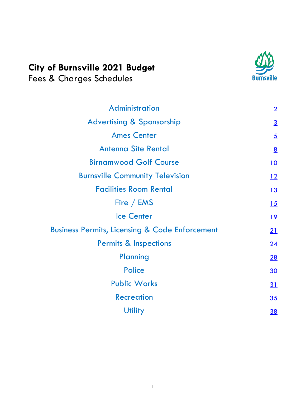# **City of Burnsville 2021 Budget** Fees & Charges Schedules



| <b>Administration</b>                                     | $\overline{2}$  |
|-----------------------------------------------------------|-----------------|
| <b>Advertising &amp; Sponsorship</b>                      | $\overline{3}$  |
| <b>Ames Center</b>                                        | $\overline{5}$  |
| <b>Antenna Site Rental</b>                                | $\underline{8}$ |
| <b>Birnamwood Golf Course</b>                             | <u>10</u>       |
| <b>Burnsville Community Television</b>                    | 12              |
| <b>Facilities Room Rental</b>                             | 13              |
| Fire / EMS                                                | 15              |
| <b>Ice Center</b>                                         | <u>19</u>       |
| <b>Business Permits, Licensing &amp; Code Enforcement</b> | 21              |
| <b>Permits &amp; Inspections</b>                          | 24              |
| Planning                                                  | 28              |
| <b>Police</b>                                             | 30              |
| <b>Public Works</b>                                       | 31              |
| <b>Recreation</b>                                         | 35              |
| <b>Utility</b>                                            | <u>38</u>       |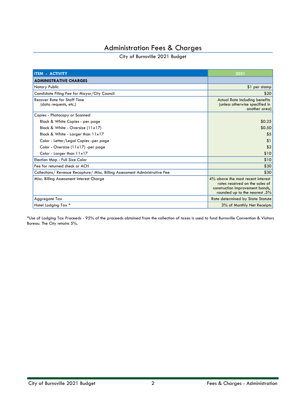# Administration Fees & Charges

#### City of Burnsville 2021 Budget

<span id="page-1-0"></span>

| <b>ITEM - ACTIVITY</b>                                                      | 2021                                                                                                                                    |
|-----------------------------------------------------------------------------|-----------------------------------------------------------------------------------------------------------------------------------------|
| <b>ADMINISTRATIVE CHARGES</b>                                               |                                                                                                                                         |
| Notary Public                                                               | \$1 per stamp                                                                                                                           |
| Candidate Filing Fee for Mayor/City Council                                 | \$20                                                                                                                                    |
| <b>Recover Rate for Staff Time</b><br>(data requests, etc.)                 | <b>Actual Rate Including benefits</b><br>(unless otherwise specified in<br>another area)                                                |
| Copies - Photocopy or Scanned                                               |                                                                                                                                         |
| Black & White Copies - per page                                             | \$0.25                                                                                                                                  |
| Black & White - Oversize (11x17)                                            | \$0.50                                                                                                                                  |
| Black & White - Larger than 11x17                                           | \$5                                                                                                                                     |
| Color - Letter/Legal Copies -per page                                       | \$1                                                                                                                                     |
| Color - Oversize (11x17) -per page                                          | \$2                                                                                                                                     |
| Color - Larger than 11x17                                                   | \$10                                                                                                                                    |
| Election Map - Full Size Color                                              | \$10                                                                                                                                    |
| Fee for returned check or ACH                                               | \$30                                                                                                                                    |
| Collections/ Revenue Recapture/ Misc. Billing Assessment Administrative Fee | \$30                                                                                                                                    |
| Misc. Billing Assessment Interest Charge                                    | 4% above the most recent interest<br>rates received on the sales of<br>construction improvement bonds,<br>rounded up to the nearest .5% |
| Aggregate Tax                                                               | Rate determined by State Statute                                                                                                        |
| Hotel Lodging Tax *                                                         | 3% of Monthly Net Receipts                                                                                                              |

\*Use of Lodging Tax Proceeds - 95% of the proceeds obtained from the collection of taxes is used to fund Burnsville Convention & Visitors Bureau. The City retains 5%.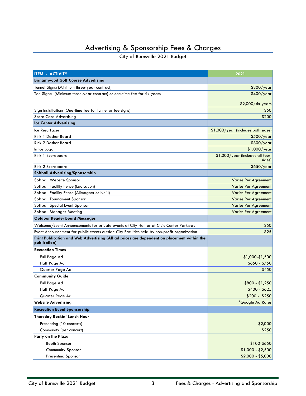# Advertising & Sponsorship Fees & Charges

<span id="page-2-0"></span>

| <b>ITEM - ACTIVITY</b>                                                                                     | 2021                                      |
|------------------------------------------------------------------------------------------------------------|-------------------------------------------|
| <b>Birnamwood Golf Course Advertising</b>                                                                  |                                           |
| Tunnel Signs: (Minimum three-year contract)                                                                | \$300/year                                |
| Tee Signs: (Minimum three-year contract) or one-time fee for six years                                     | \$400/year                                |
|                                                                                                            | \$2,000/six years                         |
| Sign Installation: (One-time fee for tunnel or tee signs)                                                  | \$50                                      |
| <b>Score Card Advertising</b>                                                                              | \$200                                     |
| <b>Ice Center Advertising</b>                                                                              |                                           |
| Ice Resurfacer                                                                                             | \$1,000/year (Includes both sides)        |
| Rink 1 Dasher Board                                                                                        | \$500/year                                |
| Rink 2 Dasher Board                                                                                        | \$300/year                                |
| In Ice Logo                                                                                                | $$1,000$ /year                            |
| Rink 1 Scoreboard                                                                                          | \$1,000/year (Includes all four<br>sides) |
| Rink 2 Scoreboard                                                                                          | \$650/year                                |
| Softball Advertising/Sponsorship                                                                           |                                           |
| Softball Website Sponsor                                                                                   | <b>Varies Per Agreement</b>               |
| Softball Facility Fence (Lac Lavon)                                                                        | <b>Varies Per Agreement</b>               |
| Softball Facility Fence (Alimagnet or Neill)                                                               | <b>Varies Per Agreement</b>               |
| Softball Tournament Sponsor                                                                                | <b>Varies Per Agreement</b>               |
| Softball Special Event Sponsor                                                                             | <b>Varies Per Agreement</b>               |
| Softball Manager Meeting                                                                                   | <b>Varies Per Agreement</b>               |
| <b>Outdoor Reader Board Messages</b>                                                                       |                                           |
| Welcome/Event Announcements for private events at City Hall or at Civic Center Parkway                     | \$50                                      |
| Event Announcement for public events outside City Facilities held by non-profit organization               | \$25                                      |
| Print Publication and Web Advertising (All ad prices are dependent on placement within the<br>publication) |                                           |
| <b>Recreation Times</b>                                                                                    |                                           |
| Full Page Ad                                                                                               | \$1,000-\$1,500                           |
| Half Page Ad                                                                                               | $$650 - $750$                             |
| Quarter Page Ad                                                                                            | \$450                                     |
| <b>Community Guide</b>                                                                                     |                                           |
| Full Page Ad                                                                                               | $$800 - $1,250$                           |
| Half Page Ad                                                                                               | $$400 - $625$                             |
| Quarter Page Ad                                                                                            | $$200 - $250$                             |
| <b>Website Advertising</b>                                                                                 | *Google Ad Rates                          |
| <b>Recreation Event Sponsorship</b>                                                                        |                                           |
| Thursday Rockin' Lunch Hour                                                                                |                                           |
| Presenting (10 concerts)                                                                                   | \$2,000                                   |
| Community (per concert)                                                                                    | \$250                                     |
| Party on the Plaza                                                                                         |                                           |
| <b>Booth Sponsor</b>                                                                                       | $$100 - $650$                             |
| Community Sponsor                                                                                          | $$1,000 - $2,500$                         |
| <b>Presenting Sponsor</b>                                                                                  | $$2,000 - $5,000$                         |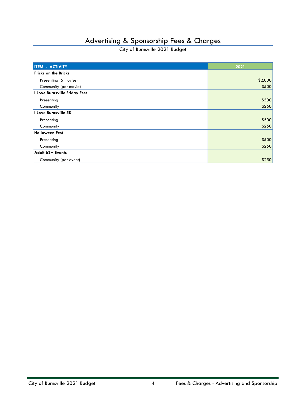# Advertising & Sponsorship Fees & Charges

| <b>ITEM - ACTIVITY</b>        | 2021    |
|-------------------------------|---------|
| <b>Flicks on the Bricks</b>   |         |
| Presenting (5 movies)         | \$2,000 |
| Community (per movie)         | \$500   |
| I Love Burnsville Friday Fest |         |
| Presenting                    | \$500   |
| Community                     | \$250   |
| I Love Burnsville 5K          |         |
| Presenting                    | \$500   |
| Community                     | \$250   |
| <b>Halloween Fest</b>         |         |
| Presenting                    | \$500   |
| Community                     | \$250   |
| Adult 62+ Events              |         |
| Community (per event)         | \$250   |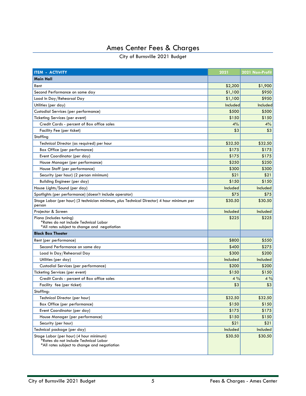# Ames Center Fees & Charges

<span id="page-4-0"></span>

| <b>ITEM - ACTIVITY</b>                                                                                                           | 2021     | 2021 Non-Profit |
|----------------------------------------------------------------------------------------------------------------------------------|----------|-----------------|
| Main Hall                                                                                                                        |          |                 |
| Rent                                                                                                                             | \$2,200  | \$1,900         |
| Second Performance on same day                                                                                                   | \$1,100  | \$950           |
| Load In Day/Rehearsal Day                                                                                                        | \$1,100  | \$950           |
| Utilities (per day)                                                                                                              | Included | Included        |
| Custodial Services (per performance)                                                                                             | \$500    | \$500           |
| Ticketing Services (per event)                                                                                                   | \$150    | \$150           |
| Credit Cards - percent of Box office sales                                                                                       | 4%       | 4%              |
| Facility Fee (per ticket)                                                                                                        | \$3      | \$3             |
| Staffing                                                                                                                         |          |                 |
| Technical Director (as required) per hour                                                                                        | \$32.50  | \$32.50         |
| Box Office (per performance)                                                                                                     | \$175    | \$175           |
| Event Coordinator (per day)                                                                                                      | \$175    | \$175           |
| House Manager (per performance)                                                                                                  | \$250    | \$250           |
| House Staff (per performance)                                                                                                    | \$300    | \$300           |
| Security (per hour) (2 person minimum)                                                                                           | \$21     | \$21            |
| Building Engineer (per day)                                                                                                      | \$150    | \$150           |
| House Lights/Sound (per day)                                                                                                     | Included | Included        |
| Spotlights (per performance) (doesn't include operator)                                                                          | \$75     | \$75            |
| Stage Labor (per hour) (3 technician minimum, plus Technical Director) 4 hour minimum per<br>person                              | \$30.50  | \$30.50         |
| Projector & Screen                                                                                                               | Included | Included        |
| Piano (includes tuning)<br>*Rates do not include Technical Labor<br>*All rates subject to change and negotiation                 | \$225    | \$225           |
| <b>Black Box Theater</b>                                                                                                         |          |                 |
| Rent (per performance)                                                                                                           | \$800    | \$550           |
| Second Performance on same day                                                                                                   | \$400    | \$275           |
| Load In Day/Rehearsal Day                                                                                                        | \$300    | \$200           |
| Utilities (per day)                                                                                                              | Included | Included        |
| Custodial Services (per performance)                                                                                             | \$200    | \$200           |
| Ticketing Services (per event)                                                                                                   | \$150    | \$150           |
| Credit Cards - percent of Box office sales                                                                                       | 4%       | 4%              |
| Facility fee (per ticket)                                                                                                        | \$3      | \$3             |
| Staffing:                                                                                                                        |          |                 |
| Technical Director (per hour)                                                                                                    | \$32.50  | \$32.50         |
| Box Office (per performance)                                                                                                     | \$150    | \$150           |
| Event Coordinator (per day)                                                                                                      | \$175    | \$175           |
| House Manager (per performance)                                                                                                  | \$150    | \$150           |
| Security (per hour)                                                                                                              | \$21     | \$21            |
| Technical package (per day)                                                                                                      | Included | Included        |
| Stage Labor (per hour) (4 hour minimum)<br>*Rates do not include Technical Labor<br>*All rates subject to change and negotiation | \$30.50  | \$30.50         |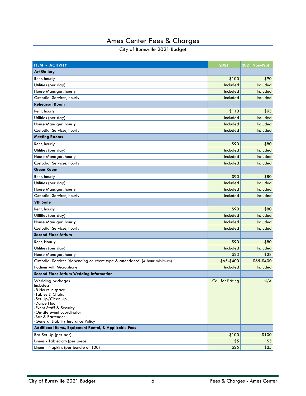# Ames Center Fees & Charges

| <b>ITEM - ACTIVITY</b><br>2021                                                                                                                                                                                     | 2021 Non-Profit |
|--------------------------------------------------------------------------------------------------------------------------------------------------------------------------------------------------------------------|-----------------|
| <b>Art Gallery</b>                                                                                                                                                                                                 |                 |
| Rent, hourly<br>\$100                                                                                                                                                                                              | \$90            |
| Utilities (per day)<br>Included                                                                                                                                                                                    | Included        |
| House Manager, hourly<br>Included                                                                                                                                                                                  | Included        |
| Custodial Services, hourly<br>Included                                                                                                                                                                             | Included        |
| <b>Rehearsal Room</b>                                                                                                                                                                                              |                 |
| Rent, hourly<br>\$110                                                                                                                                                                                              | \$95            |
| Utilities (per day)<br>Included                                                                                                                                                                                    | Included        |
| House Manager, hourly<br>Included                                                                                                                                                                                  | Included        |
| Custodial Services, hourly<br>Included                                                                                                                                                                             | Included        |
| <b>Meeting Rooms</b>                                                                                                                                                                                               |                 |
| \$90<br>Rent, hourly                                                                                                                                                                                               | \$80            |
| Utilities (per day)<br>Included                                                                                                                                                                                    | Included        |
| House Manager, hourly<br>Included                                                                                                                                                                                  | Included        |
| Custodial Services, hourly<br>Included                                                                                                                                                                             | Included        |
| <b>Green Room</b>                                                                                                                                                                                                  |                 |
| \$90<br>Rent, hourly                                                                                                                                                                                               | \$80            |
| Utilities (per day)<br>Included                                                                                                                                                                                    | Included        |
| House Manager, hourly<br>Included                                                                                                                                                                                  | Included        |
| Custodial Services, hourly<br>Included                                                                                                                                                                             | Included        |
| <b>VIP Suite</b>                                                                                                                                                                                                   |                 |
| \$90<br>Rent, hourly                                                                                                                                                                                               | \$80            |
| Utilities (per day)<br>Included                                                                                                                                                                                    | Included        |
| House Manager, hourly<br>Included                                                                                                                                                                                  | Included        |
| Custodial Services, hourly<br>Included                                                                                                                                                                             | Included        |
| <b>Second Floor Atrium</b>                                                                                                                                                                                         |                 |
| \$90<br>Rent, Hourly                                                                                                                                                                                               | \$80            |
| Utilities (per day)<br>Included                                                                                                                                                                                    | Included        |
| \$23<br>House Manager, hourly                                                                                                                                                                                      | \$23            |
| \$65-\$400<br>Custodial Services (depending on event type & attendance) (4 hour minimum)                                                                                                                           | \$65-\$400      |
| Podium with Microphone<br>Included                                                                                                                                                                                 | Included        |
| <b>Second Floor Atrium Wedding Information</b>                                                                                                                                                                     |                 |
| Wedding packages<br><b>Call for Pricing</b><br>Includes:<br>-8 Hours in space<br>-Tables & Chairs<br>-Set Up/Clean Up<br>-Dance Floor<br>-Event Staff & Security<br>-On-site event coordinator<br>-Bar & Bartender | N/A             |
| -General Liability Insurance Policy<br>Additional Items, Equipment Rental, & Applicable Fees                                                                                                                       |                 |
| \$100<br>Bar Set Up (per bar)                                                                                                                                                                                      | \$100           |
| \$5<br>Linens - Tablecloth (per piece)                                                                                                                                                                             | \$5             |
| Linens - Napkins (per bundle of 100)<br>\$25                                                                                                                                                                       | \$25            |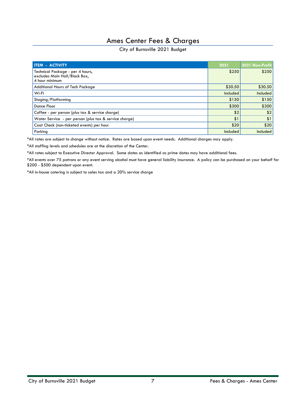### Ames Center Fees & Charges

#### City of Burnsville 2021 Budget

| <b>ITEM - ACTIVITY</b>                                                              | 2021     | 2021 Non-Profit |
|-------------------------------------------------------------------------------------|----------|-----------------|
| Technical Package - per 4 hours,<br>excludes Main Hall/Black Box,<br>4 hour minimum | \$250    | \$250           |
| <b>Additional Hours of Tech Package</b>                                             | \$30.50  | \$30.50         |
| Wi-Fi                                                                               | Included | Included        |
| Staging/Platforming                                                                 | \$150    | \$150           |
| Dance Floor                                                                         | \$300    | \$300           |
| Coffee - per person (plus tax & service charge)                                     | \$2      | \$2             |
| Water Service - per person (plus tax & service charge)                              | \$1      | \$1             |
| Coat Check (non-ticketed events) per hour                                           | \$20     | \$20            |
| Parking                                                                             | Included | Included        |

\*All rates are subject to change without notice. Rates are based upon event needs. Additional charges may apply.

\*All staffing levels and schedules are at the discretion of the Center.

\*All rates subject to Executive Director Approval. Some dates as identified as prime dates may have additional fees.

\*All events over 75 patrons or any event serving alcohol must have general liability insurance. A policy can be purchased on your behalf for \$200 - \$500 dependent upon event.

\*All in-house catering is subject to sales tax and a 20% service charge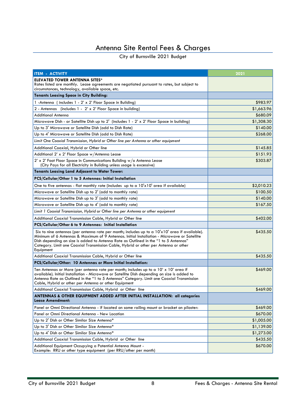# Antenna Site Rental Fees & Charges

<span id="page-7-0"></span>

| <b>ITEM - ACTIVITY</b>                                                                                                                                                                                                                                                                                                                                                                       | 2021       |
|----------------------------------------------------------------------------------------------------------------------------------------------------------------------------------------------------------------------------------------------------------------------------------------------------------------------------------------------------------------------------------------------|------------|
| <b>ELEVATED TOWER ANTENNA SITES*</b>                                                                                                                                                                                                                                                                                                                                                         |            |
| Rates listed are monthly. Lease agreements are negotiated pursuant to rates, but subject to<br>circumstances, technology, available space, etc.                                                                                                                                                                                                                                              |            |
| <b>Tenants Leasing Space in City Building:</b>                                                                                                                                                                                                                                                                                                                                               |            |
| 1 - Antenna (includes 1 - 2' x 2' Floor Space in Building)                                                                                                                                                                                                                                                                                                                                   | \$983.97   |
| 2 - Antennas (includes 1 - 2' x 2' Floor Space in building)                                                                                                                                                                                                                                                                                                                                  | \$1,663.96 |
| <b>Additional Antenna</b>                                                                                                                                                                                                                                                                                                                                                                    | \$680.09   |
| Microwave Dish - or Satellite Dish up to 2' (includes 1 - 2' x 2' Floor Space in building)                                                                                                                                                                                                                                                                                                   | \$1,308.30 |
| Up to 3' Microwave or Satellite Dish (add to Dish Rate)                                                                                                                                                                                                                                                                                                                                      | \$140.00   |
| Up to 4' Microwave or Satellite Dish (add to Dish Rate)                                                                                                                                                                                                                                                                                                                                      | \$268.00   |
| Limit One Coaxial Transmission, Hybrid or Other line per Antenna or other equipment                                                                                                                                                                                                                                                                                                          |            |
| Additional Coaxial, Hybrid or Other line                                                                                                                                                                                                                                                                                                                                                     | \$145.85   |
| Additional 2' x 2' Floor Space w/Antenna Lease                                                                                                                                                                                                                                                                                                                                               | \$151.93   |
| 2' x 2' Foot Floor Space in Communications Building w/o Antenna Lease                                                                                                                                                                                                                                                                                                                        | \$303.87   |
| (City Pays for all Electricity in Building unless usage is excessive)                                                                                                                                                                                                                                                                                                                        |            |
| <b>Tenants Leasing Land Adjacent to Water Tower:</b>                                                                                                                                                                                                                                                                                                                                         |            |
| PCS/Cellular/Other 1 to 5 Antennas: Initial Installation                                                                                                                                                                                                                                                                                                                                     |            |
| One to five antennas - flat monthly rate (includes up to a 10'x10' area if available)                                                                                                                                                                                                                                                                                                        | \$2,010.23 |
| Microwave or Satellite Dish up to 2' (add to monthly rate)                                                                                                                                                                                                                                                                                                                                   | \$100.50   |
| Microwave or Satellite Dish up to 3' (add to monthly rate)                                                                                                                                                                                                                                                                                                                                   | \$140.00   |
| Microwave or Satellite Dish up to 4' (add to monthly rate)                                                                                                                                                                                                                                                                                                                                   | \$167.50   |
| Limit 1 Coaxial Transmission, Hybrid or Other line per Antenna or other equipment                                                                                                                                                                                                                                                                                                            |            |
| Additional Coaxial Transmission Cable, Hybrid or Other line                                                                                                                                                                                                                                                                                                                                  | \$402.00   |
| PCS/Cellular/Other 6 to 9 Antennas: Initial Installation                                                                                                                                                                                                                                                                                                                                     |            |
| Six to nine antennas (per antenna rate per month; includes up to a $10x10'$ area if available).<br>Minimum of 6 Antennas & Maximum of 9 Antennas. Initial Installation - Microwave or Satellite<br>Dish depending on size is added to Antenna Rate as Outlined in the "1 to 5 Antennas"<br>Category. Limit one Coaxial Transmission Cable, Hybrid or other per Antenna or other<br>Equipment | \$435.50   |
| Additional Coaxial Transmission Cable, Hybrid or Other line                                                                                                                                                                                                                                                                                                                                  | \$435.50   |
| PCS/Cellular/Other: 10 Antennas or More Initial Installation:                                                                                                                                                                                                                                                                                                                                |            |
| Ten Antennas or More (per antenna rate per month; includes up to a 10' x 10' area if<br>available). Initial Installation - Microwave or Satellite Dish depending on size is added to<br>Antenna Rate as Outlined in the "1 to 5 Antennas" Category. Limit one Coaxial Transmission<br>Cable, Hybrid or other per Antenna or other Equipment                                                  | \$469.00   |
| Additional Coaxial Transmission Cable, Hybrid or Other line                                                                                                                                                                                                                                                                                                                                  | \$469.00   |
| ANTENNAS & OTHER EQUIPMENT ADDED AFTER INITIAL INSTALLATION: all categories<br><b>Lease Amendment:</b>                                                                                                                                                                                                                                                                                       |            |
| Panel or Omni Directional Antenna - if located on same railing mount or bracket on pilaster:                                                                                                                                                                                                                                                                                                 | \$469.00   |
| Panel or Omni Directional Antenna - New Location                                                                                                                                                                                                                                                                                                                                             | \$670.00   |
| Up to 2' Dish or Other Similar Size Antenna*                                                                                                                                                                                                                                                                                                                                                 | \$1,005.00 |
| Up to 3' Dish or Other Similar Size Antenna*                                                                                                                                                                                                                                                                                                                                                 | \$1,139.00 |
| Up to 4' Dish or Other Similar Size Antenna*                                                                                                                                                                                                                                                                                                                                                 | \$1,273.00 |
| Additional Coaxial Transmission Cable, Hybrid or Other line                                                                                                                                                                                                                                                                                                                                  | \$435.50   |
| Additional Equipment Occupying a Potential Antenna Mount -<br>Example: RRU or other type equipment (per RRU/other per month)                                                                                                                                                                                                                                                                 | \$670.00   |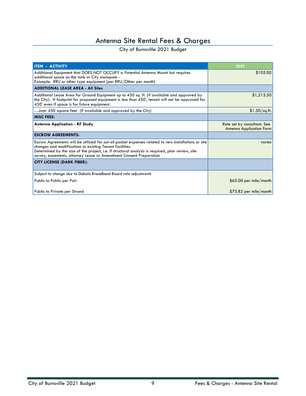# Antenna Site Rental Fees & Charges

| <b>ITEM - ACTIVITY</b>                                                                                                                                                                                                                                                                                                                    | 2021                                                           |
|-------------------------------------------------------------------------------------------------------------------------------------------------------------------------------------------------------------------------------------------------------------------------------------------------------------------------------------------|----------------------------------------------------------------|
| Additional Equipment that DOES NOT OCCUPY a Potential Antenna Mount but requires<br>additional space on the tank or City monopole -<br>Example: RRU or other type equipment (per RRU/Other per month)                                                                                                                                     | \$105.00                                                       |
| <b>ADDITIONAL LEASE AREA - All Sites</b>                                                                                                                                                                                                                                                                                                  |                                                                |
| Additional Lease Area for Ground Equipment up to 450 sq. ft. (if available and approved by<br>the City). If footprint for proposed equipment is less than 450', tenant will not be approved for<br>450' even if space is for future equipment.                                                                                            | \$1,215.50                                                     |
| over 450 square feet (if available and approved by the City)                                                                                                                                                                                                                                                                              | $$1.50$ /sq.ft.                                                |
| <b>MISC FEES:</b>                                                                                                                                                                                                                                                                                                                         |                                                                |
| <b>Antenna Application - RF Study</b>                                                                                                                                                                                                                                                                                                     | Rate set by consultant. See<br><b>Antenna Application Form</b> |
| <b>ESCROW AGREEMENTS:</b>                                                                                                                                                                                                                                                                                                                 |                                                                |
| Escrow Agreements will be utilized for out-of-pocket expenses related to new installations or site<br>changes and modifications to existing Tenant facilities.<br>Determined by the size of the project, i.e. if structural analysis is required, plan review, site<br>survey, easements, attorney Lease or Amendment Consent Preparation | varies                                                         |
| <b>CITY LICENSE (DARK FIBER):</b>                                                                                                                                                                                                                                                                                                         |                                                                |
| Subject to change due to Dakota Broadband Board rate adjustments                                                                                                                                                                                                                                                                          |                                                                |
| Public to Public per Pair                                                                                                                                                                                                                                                                                                                 | $$65.00$ per mile/month                                        |
| Public to Private per Strand                                                                                                                                                                                                                                                                                                              | $$73.82$ per mile/month                                        |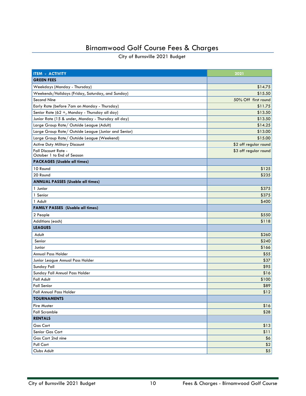# Birnamwood Golf Course Fees & Charges

<span id="page-9-0"></span>

| <b>ITEM - ACTIVITY</b>                                    | 2021                  |
|-----------------------------------------------------------|-----------------------|
| <b>GREEN FEES</b>                                         |                       |
| Weekdays (Monday - Thursday)                              | \$14.75               |
| Weekends/Holidays (Friday, Saturday, and Sunday)          | \$15.50               |
| Second Nine                                               | 50% Off first round   |
| Early Rate (before 7am on Monday - Thursday)              | \$11.75               |
| Senior Rate (62 +, Monday - Thursday all day)             | \$13.50               |
| Junior Rate (15 & under, Monday - Thursday all day)       | \$13.50               |
| Large Group Rate/ Outside League (Adult)                  | \$14.25               |
| Large Group Rate/ Outside League (Junior and Senior)      | \$13.00               |
| Large Group Rate/ Outside League (Weekend)                | \$15.00               |
| Active Duty Military Discount                             | \$2 off regular round |
| <b>Fall Discount Rate -</b><br>October 1 to End of Season | \$3 off regular round |
| <b>PACKAGES (Usable all times)</b>                        |                       |
| 10 Round                                                  | \$125                 |
| 20 Round                                                  | \$235                 |
| <b>ANNUAL PASSES (Usable all times)</b>                   |                       |
| 1 Junior                                                  | \$375                 |
| 1 Senior                                                  | \$375                 |
| 1 Adult                                                   | \$400                 |
| <b>FAMILY PASSES (Usable all times)</b>                   |                       |
| 2 People                                                  | \$550                 |
| Additions (each)                                          | \$118                 |
| <b>LEAGUES</b>                                            |                       |
| Adult                                                     | \$260                 |
| Senior                                                    | \$240                 |
| Junior                                                    | \$166                 |
| Annual Pass Holder                                        | \$55                  |
| Junior League Annual Pass Holder                          | \$37                  |
| Sunday Fall                                               | \$95                  |
| Sunday Fall Annual Pass Holder                            | \$16                  |
| <b>Fall Adult</b>                                         | \$100                 |
| <b>Fall Senior</b>                                        | \$89                  |
| Fall Annual Pass Holder                                   | \$12                  |
| <b>TOURNAMENTS</b>                                        |                       |
| <b>Fire Muster</b>                                        | \$16                  |
| <b>Fall Scramble</b>                                      | \$28                  |
| <b>RENTALS</b>                                            |                       |
| <b>Gas Cart</b>                                           | \$13                  |
| Senior Gas Cart                                           | \$11                  |
| Gas Cart 2nd nine                                         | \$6                   |
| Pull Cart                                                 | $$2$$                 |
| Clubs Adult                                               | \$5                   |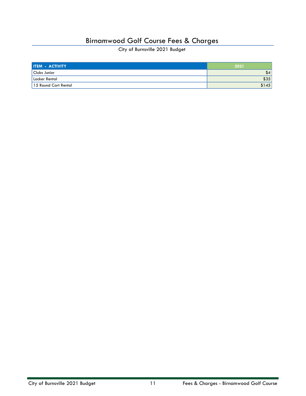### Birnamwood Golf Course Fees & Charges

| <b>ITEM - ACTIVITY</b> | 2021  |
|------------------------|-------|
| Clubs Junior           | 54    |
| Locker Rental          | \$35  |
| 15 Round Cart Rental   | \$145 |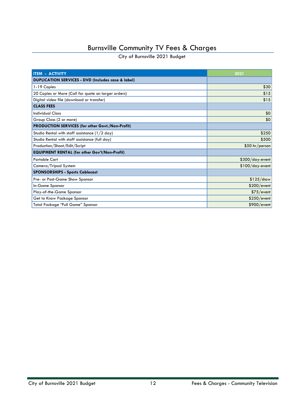# Burnsville Community TV Fees & Charges

<span id="page-11-0"></span>

| <b>ITEM - ACTIVITY</b>                                        | 2021              |
|---------------------------------------------------------------|-------------------|
| <b>DUPLICATION SERVICES - DVD (Includes case &amp; label)</b> |                   |
| 1-19 Copies                                                   | \$30              |
| 20 Copies or More (Call for quote on larger orders)           | \$15              |
| Digital video file (download or transfer)                     | \$15              |
| <b>CLASS FEES</b>                                             |                   |
| <b>Individual Class</b>                                       | \$0               |
| Group Class (2 or more)                                       | \$0               |
| PRODUCTION SERVICES (for other Govt./Non-Profit)              |                   |
| Studio Rental with staff assistance $(1/2 \text{ day})$       | \$250             |
| Studio Rental with staff assistance (full day)                | \$500             |
| Production/Shoot/Edit/Script                                  | \$50 hr/person    |
| <b>EQUIPMENT RENTAL (for other Gov't/Non-Profit)</b>          |                   |
| <b>Portable Cart</b>                                          | \$300/day-event   |
| Camera/Tripod System                                          | $$100/day$ -event |
| <b>SPONSORSHIPS - Sports Cablecast</b>                        |                   |
| Pre- or Post-Game Show Sponsor                                | $$125/$ show      |
| In-Game Sponsor                                               | \$200/event       |
| Play-of-the-Game Sponsor                                      | \$75/event        |
| Get to Know Package Sponsor                                   | \$250/event       |
| Total Package "Full Game" Sponsor                             | \$900/event       |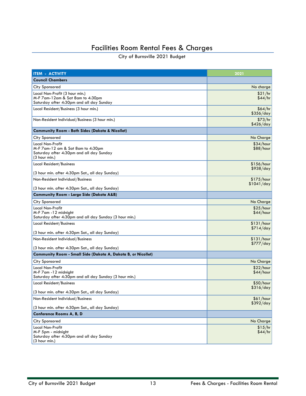# Facilities Room Rental Fees & Charges

<span id="page-12-0"></span>

| <b>ITEM - ACTIVITY</b>                                                                                                          | 2021                    |
|---------------------------------------------------------------------------------------------------------------------------------|-------------------------|
| <b>Council Chambers</b>                                                                                                         |                         |
| City Sponsored                                                                                                                  | No charge               |
| Local Non-Profit (3 hour min.)<br>M-F 7 am-12 am & Sat 8 am to 4:30 pm<br>Saturday after 4:30pm and all day Sunday              | \$21/hr<br>\$44/hr      |
| Local Resident/Business (3 hour min.)                                                                                           | \$64/hr<br>\$356/day    |
| Non-Resident Individual/Business (3 hour min.)                                                                                  | \$73/hr<br>\$426/day    |
| <b>Community Room - Both Sides (Dakota &amp; Nicollet)</b>                                                                      |                         |
| City Sponsored                                                                                                                  | No Charge               |
| Local Non-Profit<br>M-F 7 am-12 am & Sat 8 am to 4:30 pm<br>Saturday after 4:30pm and all day Sunday<br>$(3 \text{ hour min.})$ | \$34/hour<br>\$88/hour  |
| Local Resident/Business<br>(3 hour min. after 4:30pm Sat., all day Sunday)                                                      | \$156/hour<br>\$938/day |
| Non-Resident Individual/Business                                                                                                | \$175/hour              |
| (3 hour min. after 4:30pm Sat., all day Sunday)                                                                                 | \$1041/day              |
| <b>Community Room - Large Side (Dakota A&amp;B)</b>                                                                             |                         |
| City Sponsored                                                                                                                  | No Charge               |
| <b>Local Non-Profit</b><br>M-F 7 am - 12 midnight<br>Saturday after 4:30pm and all day Sunday (3 hour min.)                     | \$25/hour<br>\$44/hour  |
| Local Resident/Business                                                                                                         | \$131/hour<br>\$714/day |
| (3 hour min. after 4:30pm Sat., all day Sunday)                                                                                 |                         |
| Non-Resident Individual/Business<br>(3 hour min. after 4:30pm Sat., all day Sunday)                                             | \$131/hour<br>\$777/day |
| Community Room - Small Side (Dakota A, Dakota B, or Nicollet)                                                                   |                         |
| City Sponsored                                                                                                                  | No Charge               |
| Local Non-Profit<br>M-F 7 am - 12 midnight<br>Saturday after 4:30pm and all day Sunday (3 hour min.)                            | \$22/hour<br>\$44/hour  |
| Local Resident/Business                                                                                                         | \$50/hour               |
| (3 hour min. after 4:30pm Sat., all day Sunday)                                                                                 | \$316/day               |
| Non-Resident Individual/Business                                                                                                | \$61/hour<br>\$392/day  |
| (3 hour min. after 4:30pm Sat., all day Sunday)                                                                                 |                         |
| Conference Rooms A, B, D                                                                                                        |                         |
| City Sponsored                                                                                                                  | No Charge               |
| Local Non-Profit<br>M-F 5pm - midnight<br>Saturday after 4:30pm and all day Sunday<br>$(3$ hour min.)                           | \$15/hr<br>\$44/hr      |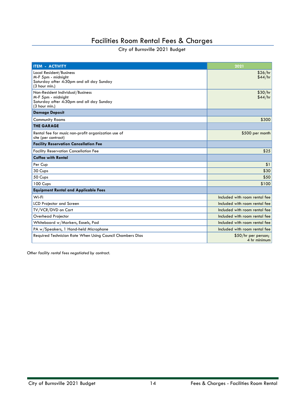### Facilities Room Rental Fees & Charges

City of Burnsville 2021 Budget

| <b>ITEM - ACTIVITY</b>                                                                                              | 2021                                 |
|---------------------------------------------------------------------------------------------------------------------|--------------------------------------|
| Local Resident/Business<br>M-F 5pm - midnight<br>Saturday after 4:30pm and all day Sunday<br>(3 hour min.)          | \$26/hr<br>\$44/hr                   |
| Non-Resident Individual/Business<br>M-F 5pm - midnight<br>Saturday after 4:30pm and all day Sunday<br>(3 hour min.) | \$30/hr<br>\$44/hr                   |
| <b>Damage Deposit</b>                                                                                               |                                      |
| <b>Community Rooms</b>                                                                                              | \$300                                |
| <b>THE GARAGE</b>                                                                                                   |                                      |
| Rental fee for music non-profit organization use of<br>site (per contract)                                          | \$500 per month                      |
| <b>Facility Reservation Cancellation Fee</b>                                                                        |                                      |
| <b>Facility Reservation Cancellation Fee</b>                                                                        | \$25                                 |
| <b>Coffee with Rental</b>                                                                                           |                                      |
| Per Cup                                                                                                             | \$1                                  |
| 30 Cups                                                                                                             | \$30                                 |
| 50 Cups                                                                                                             | \$50                                 |
| 100 Cups                                                                                                            | \$100                                |
| <b>Equipment Rental and Applicable Fees</b>                                                                         |                                      |
| Wi-Fi                                                                                                               | Included with room rental fee        |
| <b>LCD Projector and Screen</b>                                                                                     | Included with room rental fee        |
| TV/VCR/DVD on Cart                                                                                                  | Included with room rental fee        |
| Overhead Projector                                                                                                  | Included with room rental fee        |
| Whiteboard w/Markers, Easels, Pad                                                                                   | Included with room rental fee        |
| PA w/Speakers, 1 Hand-held Microphone                                                                               | Included with room rental fee        |
| Required Technician Rate When Using Council Chambers Dias                                                           | $$50/hr$ per person;<br>4 hr minimum |

*Other facility rental fees negotiated by contract.*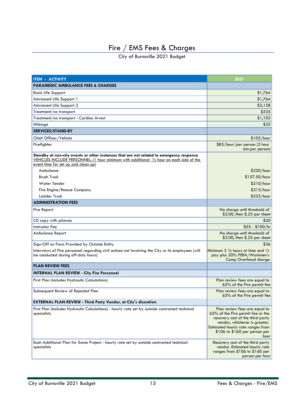<span id="page-14-0"></span>

| <b>ITEM - ACTIVITY</b>                                                                                                                                                                                                                | 2021                                                                                                                                                                                                                  |
|---------------------------------------------------------------------------------------------------------------------------------------------------------------------------------------------------------------------------------------|-----------------------------------------------------------------------------------------------------------------------------------------------------------------------------------------------------------------------|
| <b>PARAMEDIC AMBULANCE FEES &amp; CHARGES</b>                                                                                                                                                                                         |                                                                                                                                                                                                                       |
| <b>Basic Life Support</b>                                                                                                                                                                                                             | \$1,764                                                                                                                                                                                                               |
| Advanced Life Support 1                                                                                                                                                                                                               | \$1,764                                                                                                                                                                                                               |
| Advanced Life Support 2                                                                                                                                                                                                               | \$2,158                                                                                                                                                                                                               |
| Treatment/no transport                                                                                                                                                                                                                | \$535                                                                                                                                                                                                                 |
| Treatment/no transport - Cardiac Arrest                                                                                                                                                                                               | \$1,103                                                                                                                                                                                                               |
| Mileage                                                                                                                                                                                                                               | \$25                                                                                                                                                                                                                  |
| <b>SERVICES/STAND-BY</b>                                                                                                                                                                                                              |                                                                                                                                                                                                                       |
| Chief Officer/Vehicle                                                                                                                                                                                                                 | \$105/hour                                                                                                                                                                                                            |
| Firefighter                                                                                                                                                                                                                           | \$85/hour/per person (2 hour<br>min.per person)                                                                                                                                                                       |
| Standby at non-city events or other instances that are not related to emergency response<br>VEHICLES INCLUDE PERSONNEL: (1 hour minimum with additional $\frac{1}{2}$ hour on each side of the<br>event time for set up and clean up) |                                                                                                                                                                                                                       |
| Ambulance                                                                                                                                                                                                                             | \$220/hour                                                                                                                                                                                                            |
| <b>Brush Truck</b>                                                                                                                                                                                                                    | \$157.50/hour                                                                                                                                                                                                         |
| <b>Water Tender</b>                                                                                                                                                                                                                   | \$210/hour                                                                                                                                                                                                            |
| Fire Engine/Rescue Company                                                                                                                                                                                                            | \$315/hour                                                                                                                                                                                                            |
| Ladder Truck                                                                                                                                                                                                                          | \$525/hour                                                                                                                                                                                                            |
| <b>ADMINISTRATION FEES</b>                                                                                                                                                                                                            |                                                                                                                                                                                                                       |
| Fire Report                                                                                                                                                                                                                           | No charge until threshold of<br>\$2.00, then \$.25 per sheet                                                                                                                                                          |
| CD copy with pictures                                                                                                                                                                                                                 | \$20                                                                                                                                                                                                                  |
| <b>Instructor Fee</b>                                                                                                                                                                                                                 | $$55 - $100/hr$                                                                                                                                                                                                       |
| Ambulance Report                                                                                                                                                                                                                      | No charge until threshold of<br>\$2.00, then \$.25 per sheet                                                                                                                                                          |
| Sign-Off on Form Provided by Outside Entity                                                                                                                                                                                           | \$36                                                                                                                                                                                                                  |
| Interviews of Fire personnel regarding civil actions not involving the City or its employees (will<br>be conducted during off-duty hours)                                                                                             | Minimum 2 $\frac{1}{2}$ hours at time and $\frac{1}{2}$<br>pay plus 20% PERA/Workmen's<br>Comp Overhead charge.                                                                                                       |
| <b>PLAN REVIEW FEES</b>                                                                                                                                                                                                               |                                                                                                                                                                                                                       |
| <b>INTERNAL PLAN REVIEW - City Fire Personnel</b>                                                                                                                                                                                     |                                                                                                                                                                                                                       |
| First Plan (includes Hydraulic Calculations)                                                                                                                                                                                          | Plan review fees are equal to<br>65% of the Fire permit fee                                                                                                                                                           |
| Subsequent Review of Rejected Plan                                                                                                                                                                                                    | Plan review fees are equal to<br>65% of the Fire permit fee                                                                                                                                                           |
| <b>EXTERNAL PLAN REVIEW - Third Party Vendor, at City's discretion</b>                                                                                                                                                                |                                                                                                                                                                                                                       |
| First Plan (includes Hydraulic Calculations) - hourly rate set by outside contracted technical<br>specialists                                                                                                                         | Plan review fees are equal to<br>65% of the Fire permit fee or the<br>recovery cost of the third party<br>vendor, whichever is greater.<br>Estimated hourly rate ranges from<br>\$106 to \$160 per person per<br>hour |
| Each Additional Plan for Same Project - hourly rate set by outside contracted technical<br>specialists                                                                                                                                | Recovery cost of the third party<br>vendor. Estimated hourly rate<br>ranges from \$106 to \$160 per<br>person per hour                                                                                                |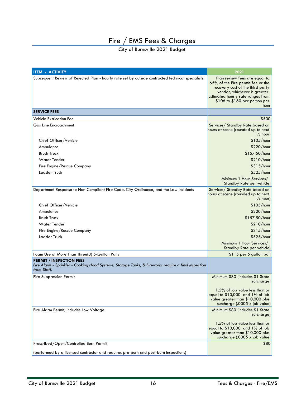| <b>ITEM - ACTIVITY</b>                                                                                                                                 | 2021                                                                                                                                                                                                                  |
|--------------------------------------------------------------------------------------------------------------------------------------------------------|-----------------------------------------------------------------------------------------------------------------------------------------------------------------------------------------------------------------------|
| Subsequent Review of Rejected Plan - hourly rate set by outside contracted technical specialists                                                       | Plan review fees are equal to<br>65% of the Fire permit fee or the<br>recovery cost of the third party<br>vendor, whichever is greater.<br>Estimated hourly rate ranges from<br>\$106 to \$160 per person per<br>hour |
| <b>SERVICE FEES</b>                                                                                                                                    |                                                                                                                                                                                                                       |
| <b>Vehicle Extrication Fee</b>                                                                                                                         | \$500                                                                                                                                                                                                                 |
| <b>Gas Line Encroachment</b>                                                                                                                           | Services/ Standby Rate based on<br>hours at scene (rounded up to next<br>$\frac{1}{2}$ hour)                                                                                                                          |
| Chief Officer/Vehicle                                                                                                                                  | \$105/hour                                                                                                                                                                                                            |
| Ambulance                                                                                                                                              | \$220/hour                                                                                                                                                                                                            |
| <b>Brush Truck</b>                                                                                                                                     | \$157.50/hour                                                                                                                                                                                                         |
| <b>Water Tender</b>                                                                                                                                    | \$210/hour                                                                                                                                                                                                            |
| Fire Engine/Rescue Company                                                                                                                             | \$315/hour                                                                                                                                                                                                            |
| Ladder Truck                                                                                                                                           | \$525/hour                                                                                                                                                                                                            |
|                                                                                                                                                        | Minimum 1 Hour Services/<br>Standby Rate per vehicle)                                                                                                                                                                 |
| Department Response to Non-Compliant Fire Code, City Ordinance, and the Law Incidents                                                                  | Services/ Standby Rate based on<br>hours at scene (rounded up to next<br>$\frac{1}{2}$ hour)                                                                                                                          |
| Chief Officer/Vehicle                                                                                                                                  | \$105/hour                                                                                                                                                                                                            |
| Ambulance                                                                                                                                              | \$220/hour                                                                                                                                                                                                            |
| <b>Brush Truck</b>                                                                                                                                     | \$157.50/hour                                                                                                                                                                                                         |
| Water Tender                                                                                                                                           | \$210/hour                                                                                                                                                                                                            |
| Fire Engine/Rescue Company                                                                                                                             | \$315/hour                                                                                                                                                                                                            |
| Ladder Truck                                                                                                                                           | \$525/hour                                                                                                                                                                                                            |
|                                                                                                                                                        | Minimum 1 Hour Services/<br>Standby Rate per vehicle)                                                                                                                                                                 |
| Foam Use of More Than Three(3) 5-Gallon Pails                                                                                                          | \$115 per 5 gallon pail                                                                                                                                                                                               |
| <b>PERMIT / INSPECTION FEES</b><br>Fire Alarm - Sprinkler - Cooking Hood Systems, Storage Tanks, & Fireworks require a final inspection<br>from Staff. |                                                                                                                                                                                                                       |
| <b>Fire Suppression Permit</b>                                                                                                                         | Minimum \$80 (includes \$1 State<br>surcharge)                                                                                                                                                                        |
|                                                                                                                                                        | 1.5% of job value less than or<br>equal to $$10,000$ and $1\%$ of job<br>value greater than \$10,000 plus<br>surcharge (.0005 x job value)                                                                            |
| Fire Alarm Permit, includes Low Voltage                                                                                                                | Minimum \$80 (includes \$1 State<br>surcharge)                                                                                                                                                                        |
|                                                                                                                                                        | 1.5% of job value less than or<br>equal to \$10,000 and 1% of job<br>value greater than \$10,000 plus<br>surcharge (.0005 x job value)                                                                                |
| Prescribed/Open/Controlled Burn Permit                                                                                                                 | \$80                                                                                                                                                                                                                  |
| (performed by a licensed contractor and requires pre-burn and post-burn inspections)                                                                   |                                                                                                                                                                                                                       |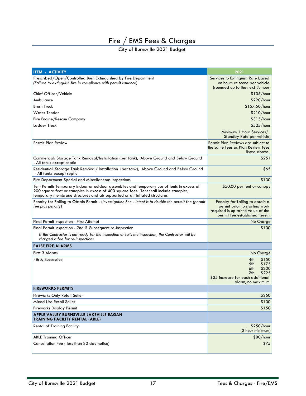| <b>ITEM - ACTIVITY</b>                                                                                                                                                                                                                                              | 2021                                                                                                                                     |
|---------------------------------------------------------------------------------------------------------------------------------------------------------------------------------------------------------------------------------------------------------------------|------------------------------------------------------------------------------------------------------------------------------------------|
| Prescribed/Open/Controlled Burn Extinguished by Fire Department<br>(Failure to extinguish fire in compliance with permit issuance)                                                                                                                                  | Services to Extinguish Rate based<br>on hours at scene per vehicle<br>(rounded up to the next $\frac{1}{2}$ hour)                        |
| Chief Officer/Vehicle                                                                                                                                                                                                                                               | \$105/hour                                                                                                                               |
| Ambulance                                                                                                                                                                                                                                                           | \$220/hour                                                                                                                               |
| <b>Brush Truck</b>                                                                                                                                                                                                                                                  | \$157.50/hour                                                                                                                            |
| <b>Water Tender</b>                                                                                                                                                                                                                                                 | \$210/hour                                                                                                                               |
| Fire Engine/Rescue Company                                                                                                                                                                                                                                          | \$315/hour                                                                                                                               |
| Ladder Truck                                                                                                                                                                                                                                                        | \$525/hour                                                                                                                               |
|                                                                                                                                                                                                                                                                     | Minimum 1 Hour Services/<br>Standby Rate per vehicle)                                                                                    |
| Permit Plan Review                                                                                                                                                                                                                                                  | Permit Plan Reviews are subject to<br>the same fees as Plan Review fees<br>listed above.                                                 |
| Commercial: Storage Tank Removal/Installation (per tank), Above Ground and Below Ground<br>- All tanks except septic                                                                                                                                                | \$251                                                                                                                                    |
| Residential: Storage Tank Removal/Installation (per tank), Above Ground and Below Ground<br>- All tanks except septic                                                                                                                                               | \$65                                                                                                                                     |
| Fire Department Special and Miscellaneous Inspections                                                                                                                                                                                                               | \$130                                                                                                                                    |
| Tent Permit: Temporary Indoor or outdoor assemblies and temporary use of tents in excess of<br>200 square feet or canopies in excess of 400 square feet. Tent shall include canopies,<br>temporary membrane structures and air supported or air inflated structures | \$50.00 per tent or canopy                                                                                                               |
| Penalty for Failing to Obtain Permit - (Investigation Fee - intent is to double the permit fee (permit<br>fee plus penalty)                                                                                                                                         | Penalty for failing to obtain a<br>permit prior to starting work<br>required is up to the value of the<br>permit fee established herein. |
| Final Permit Inspection - First Attempt                                                                                                                                                                                                                             | No Charge                                                                                                                                |
| Final Permit Inspection - 2nd & Subsequent re-inspection                                                                                                                                                                                                            | \$100                                                                                                                                    |
| If the Contractor is not ready for the inspection or fails the inspection, the Contractor will be<br>charged a fee for re-inspections.                                                                                                                              |                                                                                                                                          |
| <b>FALSE FIRE ALARMS</b>                                                                                                                                                                                                                                            |                                                                                                                                          |
| First 3 Alarms                                                                                                                                                                                                                                                      | No Charge                                                                                                                                |
| 4th & Successive                                                                                                                                                                                                                                                    | 4th<br>\$150<br>5th<br>\$175<br>6th<br>\$200<br>\$225<br>7th<br>\$25 increase for each additional<br>alarm, no maximum.                  |
| <b>FIREWORKS PERMITS</b>                                                                                                                                                                                                                                            |                                                                                                                                          |
| Fireworks Only Retail Seller                                                                                                                                                                                                                                        | \$350                                                                                                                                    |
| Mixed Use Retail Seller                                                                                                                                                                                                                                             | \$100                                                                                                                                    |
| <b>Fireworks Display Permit</b>                                                                                                                                                                                                                                     | \$150                                                                                                                                    |
| APPLE VALLEY BURNSVILLE LAKEVILLE EAGAN<br><b>TRAINING FACILITY RENTAL (ABLE)</b>                                                                                                                                                                                   |                                                                                                                                          |
| <b>Rental of Training Facility</b>                                                                                                                                                                                                                                  | \$250/hour<br>(2 hour minimum)                                                                                                           |
| <b>ABLE Training Officer</b>                                                                                                                                                                                                                                        | \$80/hour                                                                                                                                |
| Cancellation Fee ( less than 30 day notice)                                                                                                                                                                                                                         | \$75                                                                                                                                     |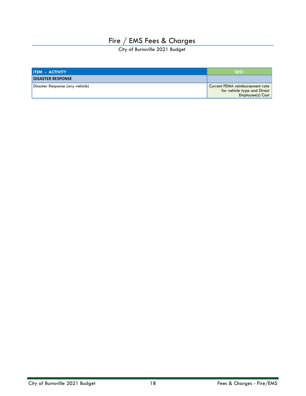| <b>ITEM - ACTIVITY</b>          | 2021                                                                               |
|---------------------------------|------------------------------------------------------------------------------------|
| <b>DISASTER RESPONSE</b>        |                                                                                    |
| Disaster Response (any vehicle) | Current FEMA reimbursement rate<br>for vehicle type and Direct<br>Employee(s) Cost |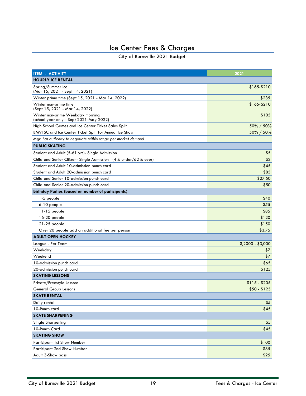# Ice Center Fees & Charges

<span id="page-18-0"></span>

| <b>ITEM - ACTIVITY</b>                                                      | 2021              |
|-----------------------------------------------------------------------------|-------------------|
| <b>HOURLY ICE RENTAL</b>                                                    |                   |
| Spring/Summer Ice<br>(Mar 15, 2021 - Sept 14, 2021)                         | \$165-\$210       |
| Winter prime time (Sept 15, 2021 - Mar 14, 2022)                            | \$235             |
| Winter non-prime time<br>(Sept 15, 2021 - Mar 14, 2022)                     | \$165-\$210       |
| Winter non-prime Weekday morning<br>(school year only - Sept 2021-May 2022) | \$105             |
| High School Games and Ice Center Ticket Sales Split                         | 50% / 50%         |
| BMVFSC and Ice Center Ticket Split for Annual Ice Show                      | 50% / 50%         |
| Mgr. has authority to negotiate within range per market demand              |                   |
| <b>PUBLIC SKATING</b>                                                       |                   |
| Student and Adult (5-61 yrs)- Single Admission                              | \$5               |
| Child and Senior Citizen- Single Admission (4 & under/62 & over)            | \$3               |
| Student and Adult 10-admission punch card                                   | \$45              |
| Student and Adult 20-admission punch card                                   | \$85              |
| Child and Senior 10-admission punch card                                    | \$27.50           |
| Child and Senior 20-admission punch card                                    | \$50              |
| <b>Birthday Parties (based on number of participants)</b>                   |                   |
| 1-5 people                                                                  | \$40              |
| 6-10 people                                                                 | \$55              |
| $11-15$ people                                                              | \$85              |
| 16-20 people                                                                | \$120             |
| 21-25 people                                                                | \$150             |
| Over 20 people add an additional fee per person                             | \$3.75            |
| <b>ADULT OPEN HOCKEY</b>                                                    |                   |
| League - Per Team                                                           | $$,2000 - $3,000$ |
| Weekday                                                                     | \$7               |
| Weekend                                                                     | \$7               |
| 10-admission punch card                                                     | \$65              |
| 20-admission punch card                                                     | \$125             |
| <b>SKATING LESSONS</b>                                                      |                   |
| Private/Freestyle Lessons                                                   | \$115 - \$205     |
| <b>General Group Lessons</b>                                                | $$50 - $125$      |
| <b>SKATE RENTAL</b>                                                         |                   |
| Daily rental                                                                | \$5               |
| 10-Punch card                                                               | \$45              |
| <b>SKATE SHARPENING</b>                                                     |                   |
| Single Sharpening                                                           | \$5               |
| 10-Punch Card                                                               | \$45              |
| <b>SKATING SHOW</b>                                                         |                   |
| Participant 1st Show Number                                                 | \$100             |
| Participant 2nd Show Number                                                 | \$85              |
| Adult 3-Show pass                                                           | \$25              |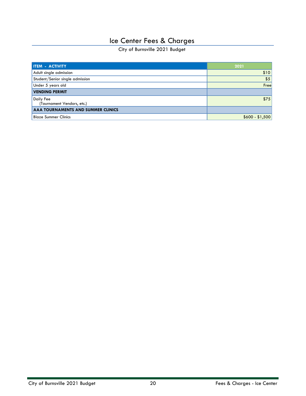# Ice Center Fees & Charges

| <b>ITEM - ACTIVITY</b>                  | 2021            |
|-----------------------------------------|-----------------|
| Adult single admission                  | \$10            |
| Student/Senior single admission         | \$5             |
| Under 5 years old                       | Free            |
| <b>VENDING PERMIT</b>                   |                 |
| Daily Fee<br>(Tournament Vendors, etc.) | \$75            |
| AAA TOURNAMENTS AND SUMMER CLINICS      |                 |
| <b>Blaze Summer Clinics</b>             | $$600 - $1,500$ |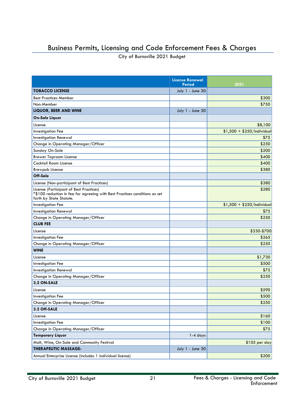# <span id="page-20-0"></span>Business Permits, Licensing and Code Enforcement Fees & Charges

|                                                                                                                                                  | <b>License Renewal</b><br><b>Period</b> | 2021                        |
|--------------------------------------------------------------------------------------------------------------------------------------------------|-----------------------------------------|-----------------------------|
| <b>TOBACCO LICENSE</b>                                                                                                                           | July 1 - June 30                        |                             |
| <b>Best Practices Member</b>                                                                                                                     |                                         | \$300                       |
| Non-Member                                                                                                                                       |                                         | \$750                       |
| <b>LIQUOR, BEER AND WINE</b>                                                                                                                     | July 1 - June 30                        |                             |
| On-Sale Liquor                                                                                                                                   |                                         |                             |
| License                                                                                                                                          |                                         | \$8,100                     |
| <b>Investigation Fee</b>                                                                                                                         |                                         | $$1,500 + $250/$ individual |
| <b>Investigation Renewal</b>                                                                                                                     |                                         | \$75                        |
| Change in Operating Manager/Officer                                                                                                              |                                         | \$250                       |
| Sunday On-Sale                                                                                                                                   |                                         | \$200                       |
| <b>Brewer Taproom License</b>                                                                                                                    |                                         | \$400                       |
| Cocktail Room License                                                                                                                            |                                         | \$400                       |
| <b>Brewpub License</b>                                                                                                                           |                                         | \$380                       |
| Off-Sale                                                                                                                                         |                                         |                             |
| License (Non-participant of Best Practices)                                                                                                      |                                         | \$380                       |
| License (Participant of Best Practices)<br>*\$100 reduction in fee for agreeing with Best Practices conditions as set<br>forth by State Statute. |                                         | \$280                       |
| <b>Investigation Fee</b>                                                                                                                         |                                         | $$1,500 + $250/$ Individual |
| <b>Investigation Renewal</b>                                                                                                                     |                                         | \$75                        |
| Change in Operating Manager/Officer                                                                                                              |                                         | \$250                       |
| <b>CLUB FEE</b>                                                                                                                                  |                                         |                             |
| License                                                                                                                                          |                                         | \$330-\$700                 |
| Investigation Fee                                                                                                                                |                                         | \$265                       |
| Change in Operating Manager/Officer                                                                                                              |                                         | \$250                       |
| <b>WINE</b>                                                                                                                                      |                                         |                             |
| License                                                                                                                                          |                                         | \$1,730                     |
| <b>Investigation Fee</b>                                                                                                                         |                                         | \$500                       |
| <b>Investigation Renewal</b>                                                                                                                     |                                         | \$75                        |
| Change in Operating Manager/Officer                                                                                                              |                                         | \$250                       |
| 3.2 ON-SALE                                                                                                                                      |                                         |                             |
| License                                                                                                                                          |                                         | \$590                       |
| <b>Investigation Fee</b>                                                                                                                         |                                         | \$500                       |
| Change in Operating Manager/Officer                                                                                                              |                                         | \$250                       |
| 3.2 Off-SALE                                                                                                                                     |                                         |                             |
| License                                                                                                                                          |                                         | \$160                       |
| Investigation Fee                                                                                                                                |                                         | \$100                       |
| Change in Operating Manager/Officer                                                                                                              |                                         | \$75                        |
| <b>Temporary Liquor</b>                                                                                                                          | 1-4 days                                |                             |
| Malt, Wine, On-Sale and Community Festival                                                                                                       |                                         | \$105 per day               |
| <b>THERAPEUTIC MASSAGE-</b>                                                                                                                      | July 1 - June 30                        |                             |
| Annual Enterprise License (includes 1 individual license)                                                                                        |                                         | \$200                       |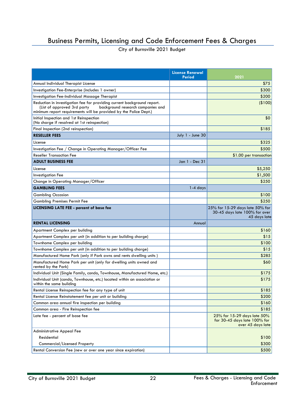### Business Permits, Licensing and Code Enforcement Fees & Charges

|                                                                                                                                                                                                                  | <b>License Renewal</b><br>Period | 2021                                                                                |
|------------------------------------------------------------------------------------------------------------------------------------------------------------------------------------------------------------------|----------------------------------|-------------------------------------------------------------------------------------|
| Annual Individual Therapist License                                                                                                                                                                              |                                  | \$75                                                                                |
| Investigation Fee-Enterprise (includes 1 owner)                                                                                                                                                                  |                                  | \$300                                                                               |
| Investigation Fee-Individual Massage Therapist                                                                                                                                                                   |                                  | \$200                                                                               |
| Reduction in investigation fee for providing current background report.<br>(List of approved 3rd party<br>background research companies and<br>minimum report requirements will be provided by the Police Dept.) |                                  | (\$100)                                                                             |
| Initial Inspection and 1st Reinspection<br>(No charge if resolved at 1st reinspection)                                                                                                                           |                                  | \$0                                                                                 |
| Final Inspection (2nd reinspection)                                                                                                                                                                              |                                  | \$185                                                                               |
| <b>RESELLER FEES</b>                                                                                                                                                                                             | July 1 - June 30                 |                                                                                     |
| License                                                                                                                                                                                                          |                                  | \$325                                                                               |
| Investigation Fee / Change in Operating Manager/Officer Fee                                                                                                                                                      |                                  | \$500                                                                               |
| <b>Reseller Transaction Fee</b>                                                                                                                                                                                  |                                  | \$1.00 per transaction                                                              |
| <b>ADULT BUSINESS FEE</b>                                                                                                                                                                                        | Jan 1 - Dec 31                   |                                                                                     |
| License                                                                                                                                                                                                          |                                  | \$5,250                                                                             |
| <b>Investigation Fee</b>                                                                                                                                                                                         |                                  | \$1,500                                                                             |
| Change in Operating Manager/Officer                                                                                                                                                                              |                                  | \$250                                                                               |
| <b>GAMBLING FEES</b>                                                                                                                                                                                             | $1-4$ days                       |                                                                                     |
| <b>Gambling Occasion</b>                                                                                                                                                                                         |                                  | \$100                                                                               |
| <b>Gambling Premises Permit Fee</b>                                                                                                                                                                              |                                  | \$250                                                                               |
| <b>LICENSING LATE FEE - percent of base fee</b>                                                                                                                                                                  |                                  | 25% for 15-29 days late 50% for<br>30-45 days late 100% for over<br>45 days late    |
| <b>RENTAL LICENSING</b>                                                                                                                                                                                          | Annual                           |                                                                                     |
| Apartment Complex per building                                                                                                                                                                                   |                                  | \$160                                                                               |
| Apartment Complex per unit (in addition to per building charge)                                                                                                                                                  |                                  | \$15                                                                                |
| Townhome Complex per building                                                                                                                                                                                    |                                  | \$100                                                                               |
| Townhome Complex per unit (in addition to per building charge)                                                                                                                                                   |                                  | \$15                                                                                |
| Manufactured Home Park (only if Park owns and rents dwelling units)                                                                                                                                              |                                  | \$285                                                                               |
| Manufactured Home Park per unit (only for dwelling units owned and<br>rented by the Park)                                                                                                                        |                                  | \$60                                                                                |
| Individual Unit (Single Family, condo, Townhouse, Manufactured Home, etc.)                                                                                                                                       |                                  | \$175                                                                               |
| Individual Unit (condo, Townhouse, etc.) located within an association or<br>within the same building                                                                                                            |                                  | \$175                                                                               |
| Rental License Reinspection fee for any type of unit                                                                                                                                                             |                                  | \$185                                                                               |
| Rental License Reinstatement fee per unit or building                                                                                                                                                            |                                  | \$200                                                                               |
| Common area annual fire inspection per building                                                                                                                                                                  |                                  | \$160                                                                               |
| Common area - Fire Reinspection fee                                                                                                                                                                              |                                  | \$185                                                                               |
| Late fee - percent of base fee                                                                                                                                                                                   |                                  | 25% for 15-29 days late 50%<br>for 30-45 days late $100\%$ for<br>over 45 days late |
| <b>Administrative Appeal Fee</b>                                                                                                                                                                                 |                                  |                                                                                     |
| Residential                                                                                                                                                                                                      |                                  | \$100                                                                               |
| Commercial/Licensed Property                                                                                                                                                                                     |                                  | \$300                                                                               |
| Rental Conversion Fee (new or over one year since expiration)                                                                                                                                                    |                                  | \$500                                                                               |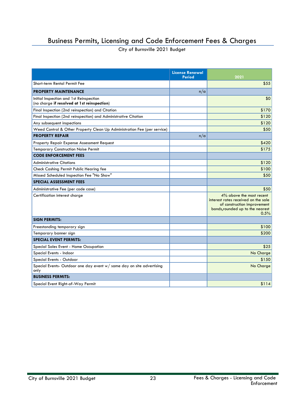### Business Permits, Licensing and Code Enforcement Fees & Charges

|                                                                                        | <b>License Renewal</b><br><b>Period</b> | 2021                                                                                                                                       |
|----------------------------------------------------------------------------------------|-----------------------------------------|--------------------------------------------------------------------------------------------------------------------------------------------|
| Short-term Rental Permit Fee                                                           |                                         | \$55                                                                                                                                       |
| <b>PROPERTY MAINTENANCE</b>                                                            | n/a                                     |                                                                                                                                            |
| Initial Inspection and 1st Reinspection<br>(no charge if resolved at 1st reinspection) |                                         | \$0                                                                                                                                        |
| Final Inspection (2nd reinspection) and Citation                                       |                                         | \$170                                                                                                                                      |
| Final Inspection (2nd reinspection) and Administrative Citation                        |                                         | \$120                                                                                                                                      |
| Any subsequent inspections                                                             |                                         | \$120                                                                                                                                      |
| Weed Control & Other Property Clean Up Administration Fee (per service)                |                                         | \$50                                                                                                                                       |
| <b>PROPERTY REPAIR</b>                                                                 | n/a                                     |                                                                                                                                            |
| <b>Property Repair Expense Assessment Request</b>                                      |                                         | \$420                                                                                                                                      |
| <b>Temporary Construction Noise Permit</b>                                             |                                         | \$175                                                                                                                                      |
| <b>CODE ENFORCEMENT FEES</b>                                                           |                                         |                                                                                                                                            |
| <b>Administrative Citations</b>                                                        |                                         | \$120                                                                                                                                      |
| Check Cashing Permit Public Hearing fee                                                |                                         | \$100                                                                                                                                      |
| Missed Scheduled Inspection Fee "No Show"                                              |                                         | \$50                                                                                                                                       |
| <b>SPECIAL ASSESSMENT FEES</b>                                                         |                                         |                                                                                                                                            |
| Administrative Fee (per code case)                                                     |                                         | \$50                                                                                                                                       |
| Certification interest charge                                                          |                                         | 4% above the most recent<br>interest rates received on the sale<br>of construction improvement<br>bonds, rounded up to the nearest<br>0.5% |
| <b>SIGN PERMITS:</b>                                                                   |                                         |                                                                                                                                            |
| Freestanding temporary sign                                                            |                                         | \$100                                                                                                                                      |
| Temporary banner sign                                                                  |                                         | \$200                                                                                                                                      |
| <b>SPECIAL EVENT PERMITS:</b>                                                          |                                         |                                                                                                                                            |
| Special Sales Event - Home Occupation                                                  |                                         | \$25                                                                                                                                       |
| Special Events - Indoor                                                                |                                         | No Charge                                                                                                                                  |
| Special Events - Outdoor                                                               |                                         | \$150                                                                                                                                      |
| Special Events- Outdoor one day event w/ same day on site advertising<br>only          |                                         | No Charge                                                                                                                                  |
| <b>BUSINESS PERMITS:</b>                                                               |                                         |                                                                                                                                            |
| Special Event Right-of-Way Permit                                                      |                                         | \$114                                                                                                                                      |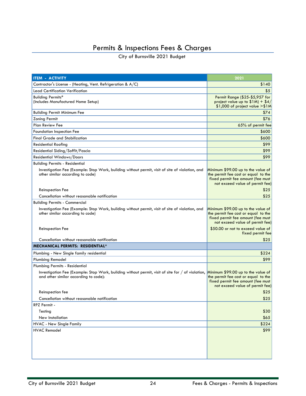# Permits & Inspections Fees & Charges

<span id="page-23-0"></span>

| <b>ITEM - ACTIVITY</b>                                                                                                                     | 2021                                                                                                                                              |
|--------------------------------------------------------------------------------------------------------------------------------------------|---------------------------------------------------------------------------------------------------------------------------------------------------|
| Contractor's License - (Heating, Vent. Refrigeration & A/C)                                                                                | \$140                                                                                                                                             |
| Lead Certification Verification                                                                                                            | \$5                                                                                                                                               |
| Building Permits*<br>(Includes Manufactured Home Setup)                                                                                    | Permit Range (\$25-\$5,957 for<br>project value up to $$1M$ ) + $$4/$<br>\$1,000 of project value >\$1M                                           |
| <b>Building Permit Minimum Fee</b>                                                                                                         | \$74                                                                                                                                              |
| <b>Zoning Permit</b>                                                                                                                       | \$76                                                                                                                                              |
| Plan Review Fee                                                                                                                            | 65% of permit fee                                                                                                                                 |
| Foundation Inspection Fee                                                                                                                  | \$600                                                                                                                                             |
| <b>Final Grade and Stabilization</b>                                                                                                       | \$600                                                                                                                                             |
| Residential Roofing                                                                                                                        | \$99                                                                                                                                              |
| Residential Siding/Soffit/Fascia                                                                                                           | \$99                                                                                                                                              |
| Residential Windows/Doors                                                                                                                  | \$99                                                                                                                                              |
| <b>Building Permits - Residential</b>                                                                                                      |                                                                                                                                                   |
| Investigation Fee (Example: Stop Work, building without permit, visit of site of violation, and<br>other similar according to code)        | Minimum \$99.00 up to the value of<br>the permit fee cost or equal to the<br>fixed permit fee amount (fee must<br>not exceed value of permit fee) |
| Reinspection Fee                                                                                                                           | \$25.                                                                                                                                             |
| Cancellation without reasonable notification                                                                                               | \$25                                                                                                                                              |
| <b>Building Permits - Commercial</b>                                                                                                       |                                                                                                                                                   |
| Investigation Fee (Example: Stop Work, building without permit, visit of site of violation, and<br>other similar according to code)        | Minimum \$99.00 up to the value of<br>the permit fee cost or equal to the<br>fixed permit fee amount (fee must<br>not exceed value of permit fee) |
| <b>Reinspection Fee</b>                                                                                                                    | \$50.00 or not to exceed value of<br>fixed permit fee                                                                                             |
| Cancellation without reasonable notification                                                                                               | \$25                                                                                                                                              |
| <b>MECHANICAL PERMITS: RESIDENTIAL*</b>                                                                                                    |                                                                                                                                                   |
| Plumbing - New Single family residential                                                                                                   | \$224                                                                                                                                             |
| Plumbing Remodel                                                                                                                           | \$99                                                                                                                                              |
| Plumbing Permits - Residential                                                                                                             |                                                                                                                                                   |
| Investigation Fee (Example: Stop Work, building without permit, visit of site for / of violation,<br>and other similar according to code): | Minimum \$99.00 up to the value of<br>the permit fee cost or equal to the<br>fixed permit fee amount (fee must<br>not exceed value of permit fee) |
| Reinspection fee                                                                                                                           | \$25                                                                                                                                              |
| Cancellation without reasonable notification                                                                                               | \$25                                                                                                                                              |
| RPZ Permit -                                                                                                                               |                                                                                                                                                   |
| Testing                                                                                                                                    | \$30                                                                                                                                              |
| New Installation                                                                                                                           | \$65                                                                                                                                              |
| HVAC - New Single Family                                                                                                                   | \$224                                                                                                                                             |
| <b>HVAC Remodel</b>                                                                                                                        | \$99                                                                                                                                              |
|                                                                                                                                            |                                                                                                                                                   |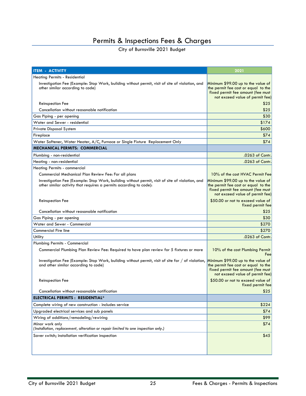# Permits & Inspections Fees & Charges

| <b>ITEM - ACTIVITY</b>                                                                                                                                                | 2021                                                                                                                                              |  |
|-----------------------------------------------------------------------------------------------------------------------------------------------------------------------|---------------------------------------------------------------------------------------------------------------------------------------------------|--|
| <b>Heating Permits - Residential</b>                                                                                                                                  |                                                                                                                                                   |  |
| Investigation Fee (Example: Stop Work, building without permit, visit of site of violation, and<br>other similar according to code)                                   | Minimum \$99.00 up to the value of<br>the permit fee cost or equal to the<br>fixed permit fee amount (fee must<br>not exceed value of permit fee) |  |
| Reinspection Fee                                                                                                                                                      | \$25                                                                                                                                              |  |
| Cancellation without reasonable notification                                                                                                                          | \$25                                                                                                                                              |  |
| Gas Piping - per opening                                                                                                                                              | \$30                                                                                                                                              |  |
| Water and Sewer - residential                                                                                                                                         | \$174                                                                                                                                             |  |
| <b>Private Disposal System</b>                                                                                                                                        | \$600                                                                                                                                             |  |
| Fireplace                                                                                                                                                             | \$74                                                                                                                                              |  |
| Water Softener, Water Heater, A/C, Furnace or Single Fixture Replacement Only                                                                                         | \$74                                                                                                                                              |  |
| <b>MECHANICAL PERMITS: COMMERCIAL</b>                                                                                                                                 |                                                                                                                                                   |  |
| Plumbing - non-residential                                                                                                                                            | .0263 of Contr.                                                                                                                                   |  |
| Heating - non-residential                                                                                                                                             | .0263 of Contr.                                                                                                                                   |  |
| Heating Permits - commercial                                                                                                                                          |                                                                                                                                                   |  |
| Commercial Mechanical Plan Review Fee: For all plans                                                                                                                  | 10% of the cost HVAC Permit Fee                                                                                                                   |  |
| Investigation Fee (Example: Stop Work, building without permit, visit of site of violation, and<br>other similar activity that requires a permits according to code): | Minimum \$99.00 up to the value of<br>the permit fee cost or equal to the<br>fixed permit fee amount (fee must<br>not exceed value of permit fee) |  |
| <b>Reinspection Fee</b>                                                                                                                                               | \$50.00 or not to exceed value of<br>fixed permit fee                                                                                             |  |
| Cancellation without reasonable notification                                                                                                                          | \$25                                                                                                                                              |  |
| Gas Piping - per opening                                                                                                                                              | \$30                                                                                                                                              |  |
| Water and Sewer - Commercial                                                                                                                                          | \$270                                                                                                                                             |  |
| <b>Commercial Fire line</b>                                                                                                                                           | \$270                                                                                                                                             |  |
| Utility                                                                                                                                                               | .0263 of Contr.                                                                                                                                   |  |
| Plumbing Permits - Commercial                                                                                                                                         |                                                                                                                                                   |  |
| Commercial Plumbing Plan Review Fee: Required to have plan review for 5 fixtures or more                                                                              | 10% of the cost Plumbing Permit<br>Feel                                                                                                           |  |
| Investigation Fee (Example: Stop Work, building without permit, visit of site for / of violation,<br>and other similar according to code)                             | Minimum \$99.00 up to the value of<br>the permit fee cost or equal to the<br>fixed permit fee amount (fee must<br>not exceed value of permit fee) |  |
| <b>Reinspection Fee</b>                                                                                                                                               | \$50.00 or not to exceed value of<br>fixed permit fee                                                                                             |  |
| Cancellation without reasonable notification                                                                                                                          | \$25                                                                                                                                              |  |
| <b>ELECTRICAL PERMITS : RESIDENTIAL*</b>                                                                                                                              |                                                                                                                                                   |  |
| Complete wiring of new construction - includes service                                                                                                                | \$224                                                                                                                                             |  |
| Upgraded electrical services and sub panels                                                                                                                           | \$74                                                                                                                                              |  |
| Wiring of additions/remodeling/rewiring                                                                                                                               | \$99                                                                                                                                              |  |
| Minor work only<br>(Installation, replacement, alteration or repair limited to one inspection only.)                                                                  | \$74                                                                                                                                              |  |
| Saver switch; installation verification inspection                                                                                                                    | \$45                                                                                                                                              |  |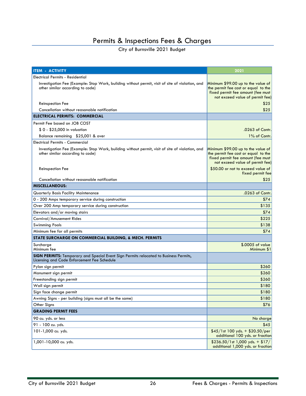### Permits & Inspections Fees & Charges

| <b>ITEM - ACTIVITY</b>                                                                                                                      | 2021                                                                                                                                              |  |  |
|---------------------------------------------------------------------------------------------------------------------------------------------|---------------------------------------------------------------------------------------------------------------------------------------------------|--|--|
| Electrical Permits - Residential                                                                                                            |                                                                                                                                                   |  |  |
| Investigation Fee (Example: Stop Work, building without permit, visit of site of violation, and<br>other similar according to code)         | Minimum \$99.00 up to the value of<br>the permit fee cost or equal to the<br>fixed permit fee amount (fee must<br>not exceed value of permit fee) |  |  |
| <b>Reinspection Fee</b>                                                                                                                     | \$25                                                                                                                                              |  |  |
| Cancellation without reasonable notification                                                                                                | \$25                                                                                                                                              |  |  |
| <b>ELECTRICAL PERMITS: COMMERCIAL</b>                                                                                                       |                                                                                                                                                   |  |  |
| Permit Fee based on JOB COST                                                                                                                |                                                                                                                                                   |  |  |
| \$0 - \$25,000 in valuation                                                                                                                 | .0263 of Contr.                                                                                                                                   |  |  |
| Balance remaining \$25,001 & over                                                                                                           | 1% of Contr.                                                                                                                                      |  |  |
| <b>Electrical Permits - Commercial</b>                                                                                                      |                                                                                                                                                   |  |  |
| Investigation Fee (Example: Stop Work, building without permit, visit of site of violation, and<br>other similar according to code)         | Minimum \$99.00 up to the value of<br>the permit fee cost or equal to the<br>fixed permit fee amount (fee must<br>not exceed value of permit fee) |  |  |
| <b>Reinspection Fee</b>                                                                                                                     | \$50.00 or not to exceed value of<br>fixed permit fee                                                                                             |  |  |
| Cancellation without reasonable notification                                                                                                | \$25                                                                                                                                              |  |  |
| <b>MISCELLANEOUS:</b>                                                                                                                       |                                                                                                                                                   |  |  |
| Quarterly Basis Facility Maintenance                                                                                                        | .0263 of Contr.                                                                                                                                   |  |  |
| 0 - 200 Amps temporary service during construction                                                                                          | \$74                                                                                                                                              |  |  |
| Over 200 Amp temporary service during construction                                                                                          | \$135                                                                                                                                             |  |  |
| Elevators and/or moving stairs                                                                                                              | \$74                                                                                                                                              |  |  |
| Carnival/Amusement Rides                                                                                                                    | \$225                                                                                                                                             |  |  |
| <b>Swimming Pools</b>                                                                                                                       | \$138                                                                                                                                             |  |  |
| Minimum fee for all permits                                                                                                                 | \$74                                                                                                                                              |  |  |
| STATE SURCHARGE ON COMMERCIAL BUILDING, & MECH. PERMITS                                                                                     |                                                                                                                                                   |  |  |
| Surcharge<br>Minimum fee                                                                                                                    | \$.0005 of value<br>Minimum \$1                                                                                                                   |  |  |
| <b>SIGN PERMITS:</b> Temporary and Special Event Sign Permits relocated to Business Permits,<br>Licensing and Code Enforcement Fee Schedule |                                                                                                                                                   |  |  |
| Pylon sign permit                                                                                                                           | \$260                                                                                                                                             |  |  |
| Monument sign permit                                                                                                                        | \$260                                                                                                                                             |  |  |
| Freestanding sign permit                                                                                                                    | \$260                                                                                                                                             |  |  |
| Wall sign permit                                                                                                                            | \$180                                                                                                                                             |  |  |
| Sign face change permit                                                                                                                     | \$180                                                                                                                                             |  |  |
| Awning Signs - per building (signs must all be the same)                                                                                    | \$180                                                                                                                                             |  |  |
| Other Signs                                                                                                                                 | \$76                                                                                                                                              |  |  |
| <b>GRADING PERMIT FEES</b>                                                                                                                  |                                                                                                                                                   |  |  |
| 90 cu. yds. or less                                                                                                                         | No charge                                                                                                                                         |  |  |
| 91 - 100 cu. yds.                                                                                                                           | \$45                                                                                                                                              |  |  |
| 101-1,000 cu. yds.                                                                                                                          | $$45/1st 100 yds. + $20.50/per$<br>additional 100 yds. or fraction                                                                                |  |  |
| 1,001-10,000 cu. yds.                                                                                                                       | $$236.50/1st1,000 yds. + $17/$<br>additional 1,000 yds. or fraction                                                                               |  |  |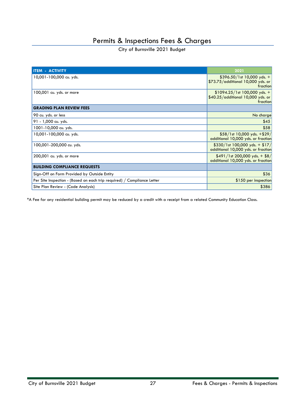City of Burnsville 2021 Budget

| <b>ITEM - ACTIVITY</b>                                                  | 2021                                                                             |
|-------------------------------------------------------------------------|----------------------------------------------------------------------------------|
| 10,001-100,000 cu. yds.                                                 | $$396.50/1st 10,000 yds. +$<br>\$73.75/additional 10,000 yds. or<br>fraction     |
| 100,001 cu. yds. or more                                                | $$1094.25/1st 100,000 yds. +$<br>$$40.25/a$ dditional 10,000 yds. or<br>fraction |
| <b>GRADING PLAN REVIEW FEES</b>                                         |                                                                                  |
| 90 cu. yds. or less                                                     | No charge                                                                        |
| 91 - 1,000 cu. yds.                                                     | \$45                                                                             |
| 1001-10,000 cu. yds.                                                    | \$58                                                                             |
| 10,001-100,000 cu. yds.                                                 | $$58/1st 10,000 yds. + $29/$<br>additional 10,000 yds. or fraction               |
| 100,001-200,000 cu. yds.                                                | $$330/1st 100,000 yds. + $17/$<br>additional 10,000 yds. or fraction             |
| 200,001 cu. yds. or more                                                | $$491/1st 200,000 yds. + $8/$<br>additional 10,000 yds. or fraction              |
| <b>BUILDING COMPLIANCE REQUESTS</b>                                     |                                                                                  |
| Sign-Off on Form Provided by Outside Entity                             | \$36                                                                             |
| Per Site Inspection - (Based on each trip required) / Compliance Letter | \$150 per inspection                                                             |
| Site Plan Review - (Code Analysis)                                      | \$386                                                                            |

\*A Fee for any residential building permit may be reduced by a credit with a receipt from a related Community Education Class.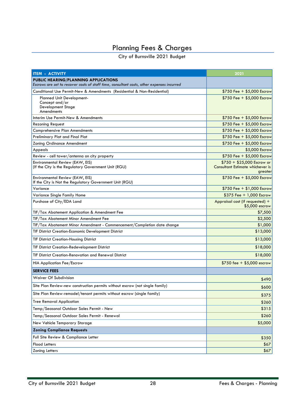# Planning Fees & Charges

<span id="page-27-0"></span>

| <b>ITEM - ACTIVITY</b>                                                                                                                   | 2021                                                                      |  |
|------------------------------------------------------------------------------------------------------------------------------------------|---------------------------------------------------------------------------|--|
| <b>PUBLIC HEARING/PLANNING APPLICATIONS</b><br>Escrows are set to recover costs of staff time, consultant costs, other expenses incurred |                                                                           |  |
| Conditional Use Permit-New & Amendments (Residential & Non-Residential)                                                                  | $$750$ Fee + \$5,000 Escrow                                               |  |
| <b>Planned Unit Development-</b><br>Concept and/or<br>Development Stage<br>Amendments                                                    | \$750 Fee + \$5,000 Escrow                                                |  |
| Interim Use Permit-New & Amendments                                                                                                      | $$750$ Fee + \$5,000 Escrow                                               |  |
| <b>Rezoning Request</b>                                                                                                                  | $$750$ Fee + \$5,000 Escrow                                               |  |
| <b>Comprehensive Plan Amendments</b>                                                                                                     | \$750 Fee + \$5,000 Escrow                                                |  |
| Preliminary Plat and Final Plat                                                                                                          | \$750 Fee + \$5,000 Escrow                                                |  |
| <b>Zoning Ordinance Amendment</b>                                                                                                        | \$750 Fee + \$5,000 Escrow                                                |  |
| Appeals                                                                                                                                  | \$5,000 Escrow                                                            |  |
| Review - cell tower/antenna on city property                                                                                             | $$750$ Fee + \$5,000 Escrow                                               |  |
| Environmental Review (EAW, EIS)<br>(If the City is the Regulatory Government Unit (RGU)                                                  | $$750 + $25,000$ Escrow or<br>Consultant Estimate whichever is<br>greater |  |
| Environmental Review (EAW, EIS)<br>If the City is Not the Regulatory Government Unit (RGU)                                               | \$750 Fee + \$5,000 Escrow                                                |  |
| Variance                                                                                                                                 | $$750$ Fee + \$1,000 Escrow                                               |  |
| Variance Single Family Home                                                                                                              | $$375$ Fee + 1,000 Escrow                                                 |  |
| Purchase of City/EDA Land                                                                                                                | Appraisal cost (if requested) +<br>\$5,000 escrow                         |  |
| TIF/Tax Abatement Application & Amendment Fee                                                                                            | \$7,500                                                                   |  |
| TIF/Tax Abatement Minor Amendment Fee                                                                                                    | \$2,500                                                                   |  |
| TIF/Tax Abatement Minor Amendment - Commencement/Completion date change                                                                  | \$1,000                                                                   |  |
| <b>TIF District Creation-Economic Development District</b>                                                                               | \$13,000                                                                  |  |
| <b>TIF District Creation-Housing District</b>                                                                                            | \$13,000                                                                  |  |
| <b>TIF District Creation-Redevelopment District</b>                                                                                      | \$18,000                                                                  |  |
| TIF District Creation-Renovation and Renewal District                                                                                    | \$18,000                                                                  |  |
| <b>HIA Application Fee/Escrow</b>                                                                                                        | \$750 fee + \$5,000 escrow                                                |  |
| <b>SERVICE FEES</b>                                                                                                                      |                                                                           |  |
| Waiver Of Subdivision                                                                                                                    | \$490                                                                     |  |
| Site Plan Review-new construction permits without escrow (not single family)                                                             | \$600                                                                     |  |
| Site Plan Review-remodel/tenant permits without escrow (single family)                                                                   | \$375                                                                     |  |
| <b>Tree Removal Application</b>                                                                                                          | \$260                                                                     |  |
| Temp/Seasonal Outdoor Sales Permit - New                                                                                                 | \$315                                                                     |  |
| Temp/Seasonal Outdoor Sales Permit - Renewal                                                                                             | \$260                                                                     |  |
| New Vehicle Temporary Storage                                                                                                            | \$5,000                                                                   |  |
| <b>Zoning Compliance Requests</b>                                                                                                        |                                                                           |  |
| Full Site Review & Compliance Letter                                                                                                     | \$350                                                                     |  |
| <b>Flood Letters</b>                                                                                                                     | \$67                                                                      |  |
| <b>Zoning Letters</b>                                                                                                                    | \$67                                                                      |  |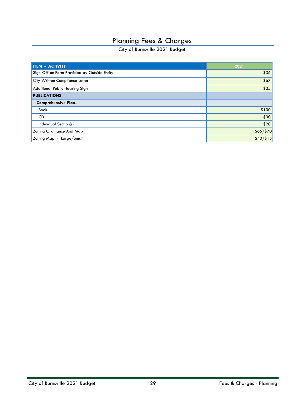### Planning Fees & Charges

| <b>I ITEM - ACTIVITY</b>                    | 2021      |
|---------------------------------------------|-----------|
| Sign-Off on Form Provided by Outside Entity | \$36      |
| City Written Compliance Letter              | \$67      |
| Additional Public Hearing Sign              | \$25      |
| <b>PUBLICATIONS</b>                         |           |
| <b>Comprehensive Plan-</b>                  |           |
| <b>Book</b>                                 | \$100     |
| CD                                          | \$30      |
| Individual Section(s)                       | \$20      |
| Zoning Ordinance And Map                    | \$65/\$70 |
| Zoning Map - Large/Small                    | \$40/\$15 |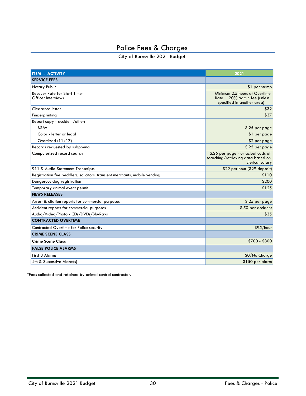# Police Fees & Charges

City of Burnsville 2021 Budget

<span id="page-29-0"></span>

| <b>ITEM - ACTIVITY</b>                                                     | 2021                                                                                          |
|----------------------------------------------------------------------------|-----------------------------------------------------------------------------------------------|
| <b>SERVICE FEES</b>                                                        |                                                                                               |
| Notary Public                                                              | \$1 per stamp                                                                                 |
| <b>Recover Rate for Staff Time-</b><br>Officer Interviews                  | Minimum 2.5 hours at Overtime<br>Rate $+20\%$ admin fee (unless<br>specified in another area) |
| Clearance letter                                                           | \$32                                                                                          |
| Fingerprinting                                                             | \$37                                                                                          |
| Report copy - accident/other:                                              |                                                                                               |
| B&W                                                                        | \$.25 per page                                                                                |
| Color - letter or legal                                                    | \$1 per page                                                                                  |
| Oversized (11x17)                                                          | \$2 per page                                                                                  |
| Records requested by subpoena                                              | \$.25 per page                                                                                |
| Computerized record search                                                 | \$.25 per page - or actual costs of<br>searching/retrieving data based on<br>clerical salary  |
| 911 & Audio Statement Transcripts                                          | \$29 per hour (\$29 deposit)                                                                  |
| Registration fee peddlers, solicitors, transient merchants, mobile vending | \$110                                                                                         |
| Dangerous dog registration                                                 | \$200                                                                                         |
| Temporary animal event permit                                              | \$125                                                                                         |
| <b>NEWS RELEASES</b>                                                       |                                                                                               |
| Arrest & citation reports for commercial purposes                          | $$.25$ per page                                                                               |
| Accident reports for commercial purposes                                   | \$.50 per accident                                                                            |
| Audio/Video/Photo - CDs/DVDs/Blu-Rays                                      | \$35                                                                                          |
| <b>CONTRACTED OVERTIME</b>                                                 |                                                                                               |
| Contracted Overtime for Police security                                    | \$95/hour                                                                                     |
| <b>CRIME SCENE CLASS</b>                                                   |                                                                                               |
| <b>Crime Scene Class</b>                                                   | \$700 - \$800                                                                                 |
| <b>FALSE POLICE ALARMS</b>                                                 |                                                                                               |
| <b>First 3 Alarms</b>                                                      | \$0/No Charge                                                                                 |
| 4th & Successive Alarm(s)                                                  | \$150 per alarm                                                                               |

\*Fees collected and retained by animal control contractor.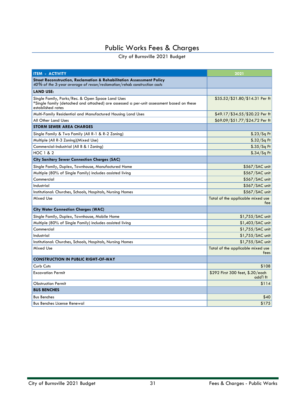<span id="page-30-0"></span>

| <b>ITEM - ACTIVITY</b>                                                                                                                                            | 2021                                         |  |
|-------------------------------------------------------------------------------------------------------------------------------------------------------------------|----------------------------------------------|--|
| Street Reconstruction, Reclamation & Rehabilitation Assessment Policy<br>40% of the 3-year average of recon/reclamation/rehab construction costs                  |                                              |  |
| <b>LAND USE:</b>                                                                                                                                                  |                                              |  |
| Single Family, Parks/Rec. & Open Space Land Uses<br>*Single family (detached and attached) are assessed a per-unit assessment based on these<br>established rates | \$35.52/\$21.80/\$14.31 Per ft               |  |
| Multi-Family Residential and Manufactured Housing Land Uses                                                                                                       | \$49.17/\$34.55/\$20.22 Per ft               |  |
| All Other Land Uses                                                                                                                                               | \$69.09/\$51.77/\$24.72 Per ft               |  |
| <b>STORM SEWER AREA CHARGES</b>                                                                                                                                   |                                              |  |
| Single Family & Two Family (All R-1 & R-2 Zoning)                                                                                                                 | $$.23/Sq$ Ft                                 |  |
| Multiple (All R-3 Zoning)(Mixed Use)                                                                                                                              | $$.32/Sq$ Ft                                 |  |
| Commercial-Industrial (All B & I Zoning)                                                                                                                          | $$.35/Sq$ Ft                                 |  |
| <b>HOC 1 &amp; 2</b>                                                                                                                                              | $$.34/Sq$ Ft                                 |  |
| <b>City Sanitary Sewer Connection Charges (SAC)</b>                                                                                                               |                                              |  |
| Single Family, Duplex, Townhouse, Manufactured Home                                                                                                               | \$567/SAC unit                               |  |
| Multiple (80% of Single Family) includes assisted living                                                                                                          | \$567/SAC unit                               |  |
| Commercial                                                                                                                                                        | \$567/SAC unit                               |  |
| Industrial                                                                                                                                                        | \$567/SAC unit                               |  |
| Institutional: Churches, Schools, Hospitals, Nursing Homes                                                                                                        | \$567/SAC unit                               |  |
| Mixed Use                                                                                                                                                         | Total of the applicable mixed use<br>fee     |  |
| <b>City Water Connection Charges (WAC)</b>                                                                                                                        |                                              |  |
| Single Family, Duplex, Townhouse, Mobile Home                                                                                                                     | $$1,755/SAC$ unit                            |  |
| Multiple (80% of Single Family) includes assisted living                                                                                                          | \$1,403/SAC unit                             |  |
| Commercial                                                                                                                                                        | \$1,755/SAC unit                             |  |
| Industrial                                                                                                                                                        | \$1,755/SAC unit                             |  |
| Institutional: Churches, Schools, Hospitals, Nursing Homes                                                                                                        | $$1,755/SAC$ unit                            |  |
| Mixed Use                                                                                                                                                         | Total of the applicable mixed use<br>fees    |  |
| <b>CONSTRUCTION IN PUBLIC RIGHT-OF-WAY</b>                                                                                                                        |                                              |  |
| Curb Cuts                                                                                                                                                         | \$108                                        |  |
| <b>Excavation Permit</b>                                                                                                                                          | \$292 First 300 feet, \$.20/each<br>add'l ft |  |
| <b>Obstruction Permit</b>                                                                                                                                         | \$114                                        |  |
| <b>BUS BENCHES</b>                                                                                                                                                |                                              |  |
| <b>Bus Benches</b>                                                                                                                                                | \$40                                         |  |
| <b>Bus Benches License Renewal</b>                                                                                                                                | \$175                                        |  |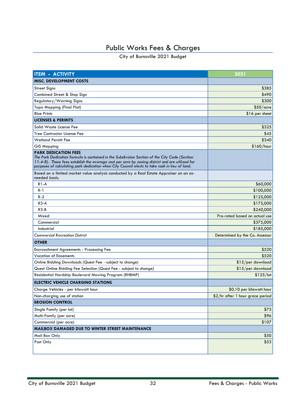| <b>ITEM - ACTIVITY</b>                                                                                                                                                                                                                                                                                                            | 2021                             |  |
|-----------------------------------------------------------------------------------------------------------------------------------------------------------------------------------------------------------------------------------------------------------------------------------------------------------------------------------|----------------------------------|--|
| <b>MISC. DEVELOPMENT COSTS</b>                                                                                                                                                                                                                                                                                                    |                                  |  |
| <b>Street Signs</b>                                                                                                                                                                                                                                                                                                               | \$385                            |  |
| Combined Street & Stop Sign                                                                                                                                                                                                                                                                                                       | \$490                            |  |
| Regulatory/Warning Signs                                                                                                                                                                                                                                                                                                          | \$300                            |  |
| <b>Topo Mapping (Final Plat)</b>                                                                                                                                                                                                                                                                                                  | $$50/$ acre                      |  |
| <b>Blue Prints</b>                                                                                                                                                                                                                                                                                                                | \$16 per sheet                   |  |
| <b>LICENSES &amp; PERMITS</b>                                                                                                                                                                                                                                                                                                     |                                  |  |
| Solid Waste License Fee                                                                                                                                                                                                                                                                                                           | \$325                            |  |
| <b>Tree Contractor License Fee</b>                                                                                                                                                                                                                                                                                                | \$45                             |  |
| <b>Wetland Permit Fee</b>                                                                                                                                                                                                                                                                                                         | \$340                            |  |
| <b>GIS Mapping</b>                                                                                                                                                                                                                                                                                                                | \$160/hour                       |  |
| <b>PARK DEDICATION FEES</b><br>The Park Dedication formula is contained in the Subdivision Section of the City Code (Section<br>11-4-8). These fees establish the average cost per acre by zoning district and are utilized for<br>purposes of calculating park dedication when City Council elects to take cash in lieu of land. |                                  |  |
| Based on a limited market value analysis conducted by a Real Estate Appraiser on an as-<br>needed basis.                                                                                                                                                                                                                          |                                  |  |
| $R1-A$                                                                                                                                                                                                                                                                                                                            | \$60,000                         |  |
| R-1                                                                                                                                                                                                                                                                                                                               | \$100,000                        |  |
| R-2                                                                                                                                                                                                                                                                                                                               | \$125,000                        |  |
| $R3-A$                                                                                                                                                                                                                                                                                                                            | \$175,000                        |  |
| $R3-B$                                                                                                                                                                                                                                                                                                                            | \$240,000                        |  |
| Mixed                                                                                                                                                                                                                                                                                                                             | Pro-rated based on actual use    |  |
| Commercial                                                                                                                                                                                                                                                                                                                        | \$375,000                        |  |
| Industrial                                                                                                                                                                                                                                                                                                                        | \$185,000                        |  |
| <b>Commercial Recreation District</b>                                                                                                                                                                                                                                                                                             | Determined by the Co. Assessor   |  |
| <b>OTHER</b>                                                                                                                                                                                                                                                                                                                      |                                  |  |
| <b>Encroachment Agreements - Processing Fee</b>                                                                                                                                                                                                                                                                                   | \$520                            |  |
| <b>Vacation of Easements</b>                                                                                                                                                                                                                                                                                                      | \$520                            |  |
| Online Bidding Downloads (Quest Fee - subject to change)                                                                                                                                                                                                                                                                          | \$15/per download                |  |
| Quest Online Bidding Fee Selection (Quest Fee - subject to change)                                                                                                                                                                                                                                                                | \$15/per download                |  |
| Residential Hardship Boulevard Mowing Program (RHBMP)                                                                                                                                                                                                                                                                             | $$125/$ lot                      |  |
| <b>ELECTRIC VEHICLE CHARGING STATIONS</b>                                                                                                                                                                                                                                                                                         |                                  |  |
| Charge Vehicles - per kilowatt hour                                                                                                                                                                                                                                                                                               | \$0.10 per kilowatt hour         |  |
| Non-charging use of station                                                                                                                                                                                                                                                                                                       | \$2/hr after 1 hour grace period |  |
| <b>EROSION CONTROL</b>                                                                                                                                                                                                                                                                                                            |                                  |  |
| Single Family (per lot)                                                                                                                                                                                                                                                                                                           | \$73                             |  |
| Multi-Family (per acre)                                                                                                                                                                                                                                                                                                           | \$96                             |  |
| Commercial (per acre)                                                                                                                                                                                                                                                                                                             | \$107                            |  |
| MAILBOX DAMAGED DUE TO WINTER STREET MAINTENANCE                                                                                                                                                                                                                                                                                  |                                  |  |
| Mail Box Only                                                                                                                                                                                                                                                                                                                     | \$50                             |  |
| Post Only                                                                                                                                                                                                                                                                                                                         | \$53                             |  |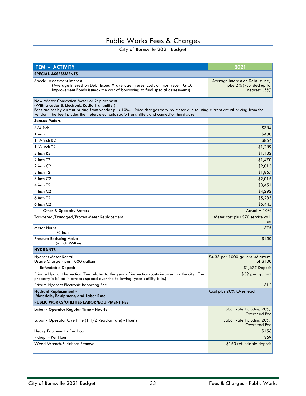| <b>ITEM - ACTIVITY</b>                                                                                                                                                                                                                                                                                                     | 2021                                                                         |  |
|----------------------------------------------------------------------------------------------------------------------------------------------------------------------------------------------------------------------------------------------------------------------------------------------------------------------------|------------------------------------------------------------------------------|--|
| <b>SPECIAL ASSESSMENTS</b>                                                                                                                                                                                                                                                                                                 |                                                                              |  |
| Special Assessment Interest<br>(Average Interest on Debt Issued = average interest costs on most recent G.O.<br>Improvement Bonds issued- the cost of borrowing to fund special assessments)                                                                                                                               | Average Interest on Debt Issued,<br>plus 2% (Rounded up to<br>nearest $.5\%$ |  |
| New Water Connection Meter or Replacement<br>(With Encoder & Electronic Radio Transmitter)<br>Fees are set by current pricing from vendor plus 10%. Price changes vary by meter due to using current actual pricing from the<br>vendor. The fee includes the meter, electronic radio transmitter, and connection hardware. |                                                                              |  |
| <b>Sensus Meters</b>                                                                                                                                                                                                                                                                                                       |                                                                              |  |
| $3/4$ inch                                                                                                                                                                                                                                                                                                                 | \$384                                                                        |  |
| 1 inch                                                                                                                                                                                                                                                                                                                     | \$400                                                                        |  |
| $1\frac{1}{2}$ inch R2                                                                                                                                                                                                                                                                                                     | \$854                                                                        |  |
| $1\frac{1}{2}$ Inch T2                                                                                                                                                                                                                                                                                                     | \$1,289                                                                      |  |
| 2 inch R2                                                                                                                                                                                                                                                                                                                  | \$1,132                                                                      |  |
| 2 inch T2                                                                                                                                                                                                                                                                                                                  | \$1,470                                                                      |  |
| 2 inch C <sub>2</sub>                                                                                                                                                                                                                                                                                                      | \$2,015                                                                      |  |
| 3 inch T2                                                                                                                                                                                                                                                                                                                  | \$1,867                                                                      |  |
| 3 inch C2                                                                                                                                                                                                                                                                                                                  | \$2,015                                                                      |  |
| 4 inch T <sub>2</sub>                                                                                                                                                                                                                                                                                                      | \$3,451                                                                      |  |
| 4 inch C2                                                                                                                                                                                                                                                                                                                  | \$4,292                                                                      |  |
| 6 inch T2                                                                                                                                                                                                                                                                                                                  | \$5,283                                                                      |  |
| $6$ inch $C2$                                                                                                                                                                                                                                                                                                              | \$6,445                                                                      |  |
| Other & Specialty Meters                                                                                                                                                                                                                                                                                                   | Actual $+10%$                                                                |  |
| Tampered/Damaged/Frozen Meter Replacement                                                                                                                                                                                                                                                                                  | Meter cost plus \$70 service call<br>fee                                     |  |
| Meter Horns<br>$\frac{3}{4}$ Inch                                                                                                                                                                                                                                                                                          | \$75                                                                         |  |
| Pressure Reducing Valve<br>3/4 Inch Wilkins                                                                                                                                                                                                                                                                                | \$150                                                                        |  |
| <b>HYDRANTS</b>                                                                                                                                                                                                                                                                                                            |                                                                              |  |
| Hydrant Meter Rental<br>Usage Charge - per 1000 gallons                                                                                                                                                                                                                                                                    | \$4.33 per 1000 gallons - Minimum<br>of \$100                                |  |
| <b>Refundable Deposit</b>                                                                                                                                                                                                                                                                                                  | \$1,675 Deposit                                                              |  |
| Private Hydrant Inspection (Fee relates to the year of inspection/costs incurred by the city. The<br>property is billed in arrears spread over the following year's utility bills.)                                                                                                                                        | \$59 per hydrant                                                             |  |
| Private Hydrant Electronic Reporting Fee                                                                                                                                                                                                                                                                                   | \$12                                                                         |  |
| <b>Hydrant Replacement -</b><br>Materials, Equipment, and Labor Rate                                                                                                                                                                                                                                                       | Cost plus 20% Overhead                                                       |  |
| PUBLIC WORKS/UTILITIES LABOR/EQUIPMENT FEE                                                                                                                                                                                                                                                                                 |                                                                              |  |
| Labor - Operator Regular Time - Hourly                                                                                                                                                                                                                                                                                     | Labor Rate Including 20%<br>Overhead Fee                                     |  |
| Labor - Operator Overtime (1 1/2 Regular rate) - Hourly                                                                                                                                                                                                                                                                    | Labor Rate Including 20%<br>Overhead Fee                                     |  |
| Heavy Equipment - Per Hour                                                                                                                                                                                                                                                                                                 | \$156                                                                        |  |
| Pickup - Per Hour                                                                                                                                                                                                                                                                                                          | \$69                                                                         |  |
| Weed Wrench-Buckthorn Removal                                                                                                                                                                                                                                                                                              | \$150 refundable deposit                                                     |  |
|                                                                                                                                                                                                                                                                                                                            |                                                                              |  |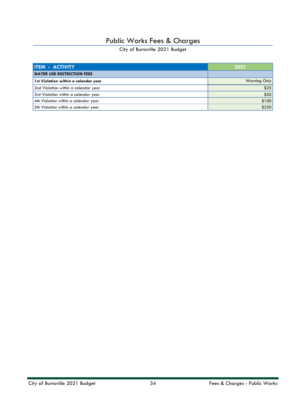| <b>ITEM - ACTIVITY</b>               | 2021                |
|--------------------------------------|---------------------|
| <b>WATER USE RESTRICTION FEES</b>    |                     |
| 1st Violation within a calendar year | <b>Warning Only</b> |
| 2nd Violation within a calendar year | \$25                |
| 3rd Violation within a calendar year | \$50                |
| 4th Violation within a calendar year | \$100               |
| 5th Violation within a calendar year | \$250               |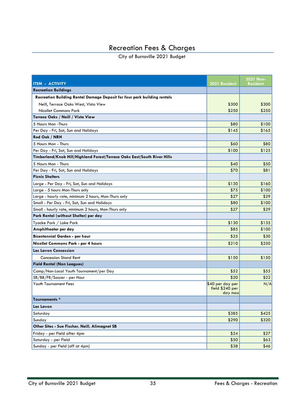# Recreation Fees & Charges

<span id="page-34-0"></span>

| <b>ITEM - ACTIVITY</b>                                                   | 2021 Resident                                  | 2021 Non-<br><b>Resident</b> |
|--------------------------------------------------------------------------|------------------------------------------------|------------------------------|
| <b>Recreation Buildings</b>                                              |                                                |                              |
| Recreation Building Rental Damage Deposit for four park building rentals |                                                |                              |
| Neill, Terrace Oaks West, Vista View                                     | \$300                                          | \$300                        |
| Nicollet Commons Park                                                    | \$250                                          | \$250                        |
| Terrace Oaks / Neill / Vista View                                        |                                                |                              |
| 5 Hours Mon - Thurs                                                      | \$80                                           | \$100                        |
| Per Day - Fri, Sat, Sun and Holidays                                     | \$145                                          | \$165                        |
| Red Oak / NRH                                                            |                                                |                              |
| 5 Hours Mon - Thurs                                                      | \$60                                           | \$80                         |
| Per Day - Fri, Sat, Sun and Holidays                                     | \$100                                          | \$125                        |
| Timberland/Knob Hill/Highland Forest/Terrace Oaks East/South River Hills |                                                |                              |
| 5 Hours Mon - Thurs                                                      | \$40                                           | \$50                         |
| Per Day - Fri, Sat, Sun and Holidays                                     | \$70                                           | \$81                         |
| <b>Picnic Shelters</b>                                                   |                                                |                              |
| Large - Per Day - Fri, Sat, Sun and Holidays                             | \$130                                          | \$160                        |
| Large - 5 hours Mon-Thurs only                                           | \$75                                           | \$100                        |
| Large - hourly rate, minimum 2 hours, Mon-Thurs only                     | \$27                                           | \$29                         |
| Small - Per Day - Fri, Sat, Sun and Holidays                             | \$80                                           | \$100                        |
| Small - hourly rate, minimum 2 hours, Mon-Thurs only                     | \$27                                           | \$29                         |
| Park Rental (without Shelter) per day                                    |                                                |                              |
| Tyacke Park / Lake Park                                                  | \$130                                          | \$135                        |
| Amphitheater per day                                                     | \$85                                           | \$100                        |
| Bicentennial Garden - per hour                                           | \$25                                           | \$30                         |
| Nicollet Commons Park - per 4 hours                                      | \$210                                          | \$250                        |
| Lac Lavon Concession                                                     |                                                |                              |
| <b>Concession Stand Rent</b>                                             | \$150                                          | \$150                        |
| <b>Field Rental (Non Leagues)</b>                                        |                                                |                              |
| Camp/Non-Local Youth Tournament/per Day                                  | \$52                                           | \$55                         |
| SB/BB/FB/Soccer - per Hour                                               | \$20                                           | \$22                         |
| <b>Youth Tournament Fees</b>                                             | \$40 per day per<br>field \$240 per<br>day max | N/A                          |
| Tournaments *                                                            |                                                |                              |
| Lac Lavon                                                                |                                                |                              |
| Saturday                                                                 | \$385                                          | \$425                        |
| Sunday                                                                   | \$290                                          | \$320                        |
| Other Sites - Sue Fischer, Neill, Alimagnet SB                           |                                                |                              |
| Friday - per Field after 4pm                                             | \$24                                           | \$27                         |
| Saturday - per Field                                                     | \$50                                           | \$63                         |
| Sunday - per Field (off at 4pm)                                          | \$38                                           | \$46                         |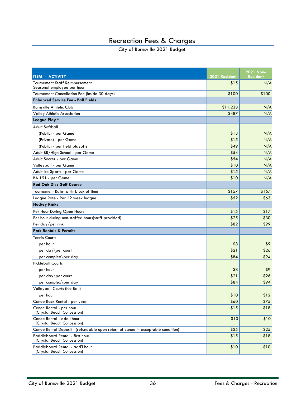### Recreation Fees & Charges

| <b>ITEM - ACTIVITY</b>                                                           | 2021 Resident | 2021 Non-<br><b>Resident</b> |
|----------------------------------------------------------------------------------|---------------|------------------------------|
| <b>Tournament Staff Reimbursement</b><br>Seasonal employee per hour              | \$15          | N/A                          |
| Tournament Cancellation Fee (inside 30 days)                                     | \$100         | \$100                        |
| <b>Enhanced Service Fee - Ball Fields</b>                                        |               |                              |
| <b>Burnsville Athletic Club</b>                                                  | \$11,238      | N/A                          |
| Valley Athletic Association                                                      | \$487         | N/A                          |
| League Play *                                                                    |               |                              |
| Adult Softball                                                                   |               |                              |
| (Public) - per Game                                                              | \$13          | N/A                          |
| (Private) - per Game                                                             | \$15          | N/A                          |
| (Public) - per field playoffs                                                    | \$49          | N/A                          |
| Adult BB/High School - per Game                                                  | \$54          | N/A                          |
| Adult Soccer - per Game                                                          | \$54          | N/A                          |
| Volleyball - per Game                                                            | \$10          | N/A                          |
| Adult Ice Sports - per Game                                                      | \$15          | N/A                          |
| BA 191 - per Game                                                                | \$10          | N/A                          |
| <b>Red Oak Disc Golf Course</b>                                                  |               |                              |
| Tournament Rate- 6 Hr block of time                                              | \$157         | \$167                        |
| League Rate - Per 12 week league                                                 | \$52          | \$63                         |
| <b>Hockey Rinks</b>                                                              |               |                              |
| Per Hour During Open Hours                                                       | \$15          | \$17                         |
| Per hour during non-staffed hours[staff provided]                                | \$25          | \$30                         |
| Per day/per rink                                                                 | \$82          | \$99                         |
| <b>Park Rentals &amp; Permits</b>                                                |               |                              |
| <b>Tennis Courts</b>                                                             |               |                              |
| per hour                                                                         | \$8           | \$9                          |
| per day\per court                                                                | \$21          | \$26                         |
| per complex\per day                                                              | \$84          | \$94                         |
| <b>Pickleball Courts</b>                                                         |               |                              |
| per hour                                                                         | \$8           | \$9                          |
| per day\per court                                                                | \$21          | \$26                         |
| per complex\per day                                                              | \$84          | \$94                         |
| Volleyball Courts (No Ball)                                                      |               |                              |
| per hour                                                                         | \$10          | \$12                         |
| Canoe Rack Rental - per year                                                     | \$60          | \$75                         |
| Canoe Rental - per hour<br>(Crystal Beach Concession)                            | \$15          | \$18                         |
| Canoe Rental - add'l hour<br>(Crystal Beach Concession)                          | \$10          | \$10                         |
| Canoe Rental Deposit - (refundable upon return of canoe in acceptable condition) | \$25          | \$25                         |
| Paddleboard Rental - first hour<br>(Crystal Beach Concession)                    | \$15          | \$18                         |
| Paddleboard Rental - add'l hour<br>(Crystal Beach Concession)                    | \$10          | \$10                         |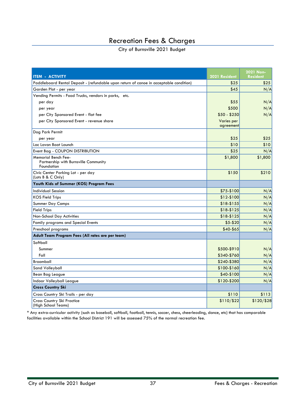#### Recreation Fees & Charges

#### City of Burnsville 2021 Budget

| <b>ITEM - ACTIVITY</b>                                                                 | 2021 Resident           | 2021 Non-<br><b>Resident</b> |
|----------------------------------------------------------------------------------------|-------------------------|------------------------------|
| Paddleboard Rental Deposit - (refundable upon return of canoe in acceptable condition) | \$25                    | \$25                         |
| Garden Plot - per year                                                                 | \$45                    | N/A                          |
| Vending Permits - Food Trucks, vendors in parks, etc.                                  |                         |                              |
| per day                                                                                | \$55                    | N/A                          |
| per year                                                                               | \$500                   | N/A                          |
| per City Sponsored Event - flat fee                                                    | \$50 - \$250            | N/A                          |
| per City Sponsored Event - revenue share                                               | Varies per<br>agreement |                              |
| Dog Park Permit                                                                        |                         |                              |
| per year                                                                               | \$25                    | \$25                         |
| Lac Lavon Boat Launch                                                                  | \$10                    | \$10                         |
| Event Bag - COUPON DISTRIBUTION                                                        | \$25                    | N/A                          |
| Memorial Bench Fee-<br>Partnership with Burnsville Community<br>Foundation             | \$1,800                 | \$1,800                      |
| Civic Center Parking Lot - per day<br>(Lots B & C Only)                                | \$150                   | \$210                        |
| Youth Kids of Summer (KOS) Program Fees                                                |                         |                              |
| <b>Individual Session</b>                                                              | \$75-\$100              | N/A                          |
| <b>KOS Field Trips</b>                                                                 | \$12-\$100              | N/A                          |
| Summer Day Camps                                                                       | \$18-\$155              | N/A                          |
| <b>Field Trips</b>                                                                     | \$18-\$125              | N/A                          |
| Non-School Day Activities                                                              | \$18-\$125              | N/A                          |
| Family programs and Special Events                                                     | $$5 - $20$              | N/A                          |
| Preschool programs                                                                     | $$40-$65$               | N/A                          |
| Adult Team Program Fees (All rates are per team)                                       |                         |                              |
| Softball                                                                               |                         |                              |
| Summer                                                                                 | \$500-\$910             | N/A                          |
| Fall                                                                                   | \$340-\$760             | N/A                          |
| <b>Broomball</b>                                                                       | \$240-\$380             | N/A                          |
| Sand Volleyball                                                                        | \$100-\$160             | N/A                          |
| Bean Bag League                                                                        | \$40-\$100              | N/A                          |
| Indoor Volleyball League                                                               | \$120-\$200             | N/A                          |
| <b>Cross Country Ski</b>                                                               |                         |                              |
| Cross Country Ski Trails - per day                                                     | \$110                   | \$113                        |
| Cross Country Ski Practice<br>(High School Teams)                                      | \$110/\$22              | \$120/\$28                   |

\* Any extra-curricular activity (such as baseball, softball, football, tennis, soccer, chess, cheerleading, dance, etc) that has comparable facilities available within the School District 191 will be assessed 75% of the normal recreation fee.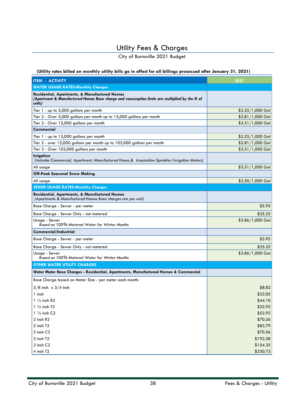# Utility Fees & Charges

City of Burnsville 2021 Budget

<span id="page-37-0"></span>**(Utility rates billed on monthly utility bills go in effect for all billings processed after January 31, 2021)**

| <b>ITEM - ACTIVITY</b>                                                                                                                                              | 2021              |
|---------------------------------------------------------------------------------------------------------------------------------------------------------------------|-------------------|
| <b>WATER USAGE RATES-Monthly Charges</b>                                                                                                                            |                   |
| <b>Residential, Apartments, &amp; Manufactured Homes</b><br>(Apartment & Manufactured Homes Base charge and consumption limits are multiplied by the # of<br>units) |                   |
| Tier 1 - up to 5,000 gallons per month                                                                                                                              | \$2.25/1,000 Gal  |
| Tier 2 - Over 5,000 gallons per month up to 15,000 gallons per month                                                                                                | $$2.81/1,000$ Gal |
| Tier 3 - Over 15,000 gallons per month                                                                                                                              | $$3.51/1,000$ Gal |
| Commercial                                                                                                                                                          |                   |
| Tier 1 - up to 15,000 gallons per month                                                                                                                             | $$2.25/1,000$ Gal |
| Tier 2 - over 15,000 gallons per month up to 105,000 gallons per month                                                                                              | $$2.81/1,000$ Gal |
| Tier 3 - Over 105,000 gallons per month                                                                                                                             | $$3.51/1,000$ Gal |
| <b>Irrigation</b><br>(Includes Commercial, Apartment, Manufactured Home,& Association Sprinkler/Irrigation Meters)                                                  |                   |
| All usage                                                                                                                                                           | $$3.51/1,000$ Gal |
| <b>Off-Peak Seasonal Snow Making</b>                                                                                                                                |                   |
| All usage                                                                                                                                                           | $$2.50/1,000$ Gal |
| <b>SEWER USAGE RATES-Monthly Charges</b>                                                                                                                            |                   |
| <b>Residential, Apartments, &amp; Manufactured Homes</b><br>(Apartments & Manufactured Homes Base charges are per unit)                                             |                   |
| Base Charge - Sewer - per meter                                                                                                                                     | \$5.95            |
| Base Charge - Sewer Only - not metered                                                                                                                              | \$25.25           |
| Usage - Sewer<br>Based on 100% Metered Water for Winter Months                                                                                                      | \$3.86/1,000 Gal  |
| <b>Commercial/Industrial</b>                                                                                                                                        |                   |
| Base Charge - Sewer - per meter                                                                                                                                     | \$5.95            |
| Base Charge - Sewer Only - not metered                                                                                                                              | \$25.25           |
| Usage - Sewer<br>Based on 100% Metered Water for Winter Months                                                                                                      | \$3.86/1,000 Gal  |
| <b>OTHER WATER UTILITY CHARGES</b>                                                                                                                                  |                   |
| Water Meter Base Charges - Residential, Apartments, Manufactured Homes & Commercial                                                                                 |                   |
| Base Charge based on Meter Size - per meter each month:                                                                                                             |                   |
| $5/8$ inch $\times$ 3/4 inch                                                                                                                                        | \$8.82            |
| 1 inch                                                                                                                                                              | \$22.05           |
| $1\frac{1}{2}$ inch R2                                                                                                                                              | \$44.10           |
| $1\frac{1}{2}$ inch T2                                                                                                                                              | \$52.92           |
| $1\frac{1}{2}$ inch C2                                                                                                                                              | \$52.92           |
| 2 inch R2                                                                                                                                                           | \$70.56           |
| 2 inch T2                                                                                                                                                           | \$83.79           |
| 2 inch C2                                                                                                                                                           | \$70.56           |
| 3 inch T2                                                                                                                                                           | \$192.28          |
| 3 inch C2                                                                                                                                                           | \$154.35          |
| 4 inch T2                                                                                                                                                           | \$330.75          |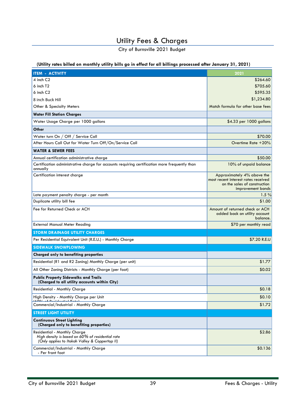### Utility Fees & Charges

City of Burnsville 2021 Budget

#### **(Utility rates billed on monthly utility bills go in effect for all billings processed after January 31, 2021)**

| <b>ITEM - ACTIVITY</b>                                                                                                             | 2021                                                                                                                   |  |
|------------------------------------------------------------------------------------------------------------------------------------|------------------------------------------------------------------------------------------------------------------------|--|
| 4 inch C2                                                                                                                          | \$264.60                                                                                                               |  |
| $6$ inch T2                                                                                                                        | \$705.60                                                                                                               |  |
| 6 inch C2                                                                                                                          | \$595.35                                                                                                               |  |
| 8 inch Buck Hill                                                                                                                   | \$1,234.80                                                                                                             |  |
| Other & Specialty Meters                                                                                                           | Match formula for other base fees                                                                                      |  |
| <b>Water Fill Station Charges</b>                                                                                                  |                                                                                                                        |  |
| Water Usage Charge per 1000 gallons                                                                                                | \$4.33 per 1000 gallons                                                                                                |  |
| Other                                                                                                                              |                                                                                                                        |  |
| Water turn On / Off / Service Call                                                                                                 | \$70.00                                                                                                                |  |
| After Hours Call Out for Water Turn Off/On/Service Call                                                                            | Overtime Rate $+20\%$                                                                                                  |  |
| <b>WATER &amp; SEWER FEES</b>                                                                                                      |                                                                                                                        |  |
| Annual certification administrative charge                                                                                         | \$50.00                                                                                                                |  |
| Certification administrative charge for accounts requiring certification more frequently than<br>annually                          | 10% of unpaid balance                                                                                                  |  |
| Certification interest charge                                                                                                      | Approximately 4% above the<br>most recent interest rates received<br>on the sales of construction<br>improvement bonds |  |
| Late payment penalty charge - per month                                                                                            | 1.5%                                                                                                                   |  |
| Duplicate utility bill fee                                                                                                         | \$1.00                                                                                                                 |  |
| Fee for Returned Check or ACH                                                                                                      | Amount of returned check or ACH<br>added back on utility account<br>balance.                                           |  |
| <b>External Manual Meter Reading</b>                                                                                               | \$70 per monthly read                                                                                                  |  |
| <b>STORM DRAINAGE UTILITY CHARGES</b>                                                                                              |                                                                                                                        |  |
| Per Residential Equivalent Unit (R.E.U.) - Monthly Charge                                                                          | \$7.20 R.E.U                                                                                                           |  |
| <b>SIDEWALK SNOWPLOWING</b>                                                                                                        |                                                                                                                        |  |
| Charged only to benefiting properties                                                                                              |                                                                                                                        |  |
| Residential (R1 and R2 Zoning) Monthly Charge (per unit)                                                                           | \$1.77                                                                                                                 |  |
| All Other Zoning Districts - Monthly Charge (per foot)                                                                             | \$0.02                                                                                                                 |  |
| <b>Public Property Sidewalks and Trails</b><br>(Charged to all utility accounts within City)                                       |                                                                                                                        |  |
| Residential - Monthly Charge                                                                                                       | \$0.18                                                                                                                 |  |
| High Density - Monthly Charge per Unit<br>1400/110                                                                                 | \$0.10                                                                                                                 |  |
| Commercial/Industrial - Monthly Charge                                                                                             | \$1.72                                                                                                                 |  |
| <b>STREET LIGHT UTILITY</b>                                                                                                        |                                                                                                                        |  |
| <b>Continuous Street Lighting</b><br>(Charged only to benefiting properties)                                                       |                                                                                                                        |  |
| Residential - Monthly Charge<br>High density is based on 60% of residential rate<br>(Only applies to Itokah Valley & Coppertop II) | \$2.86                                                                                                                 |  |
| Commercial/Industrial - Monthly Charge<br>- Per front foot                                                                         | \$0.136                                                                                                                |  |